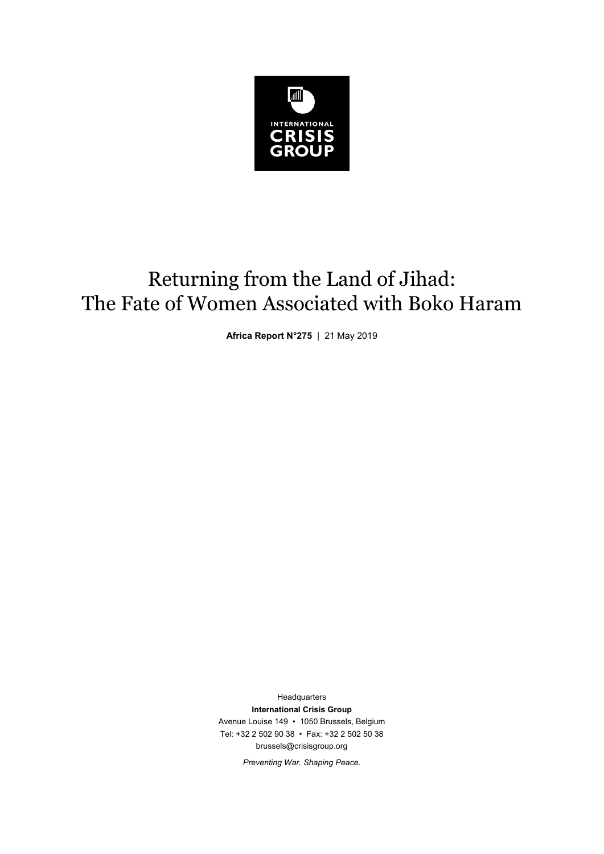

# Returning from the Land of Jihad: The Fate of Women Associated with Boko Haram

**Africa Report N°275** | 21 May 2019

Headquarters **International Crisis Group**  Avenue Louise 149 • 1050 Brussels, Belgium Tel: +32 2 502 90 38 • Fax: +32 2 502 50 38 brussels@crisisgroup.org

*Preventing War. Shaping Peace.*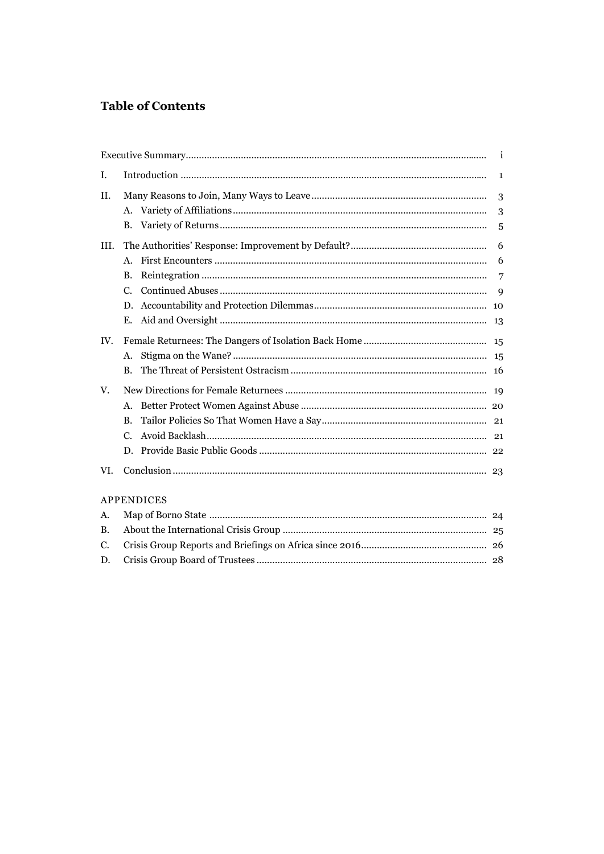# **Table of Contents**

| I.   |                | 1 |
|------|----------------|---|
| II.  |                | 3 |
|      | A.             | 3 |
|      | B.             | 5 |
| III. |                | 6 |
|      | $\mathsf{A}$ . | 6 |
|      | <b>B.</b>      | 7 |
|      | $C_{\cdot}$    | 9 |
|      | D.             |   |
|      | Е.             |   |
| IV.  |                |   |
|      | $A_{-}$        |   |
|      | <b>B.</b>      |   |
| V.   |                |   |
|      | A.             |   |
|      | <b>B.</b>      |   |
|      | $C_{\cdot}$    |   |
|      | D.             |   |
| VI.  |                |   |

# **APPENDICES**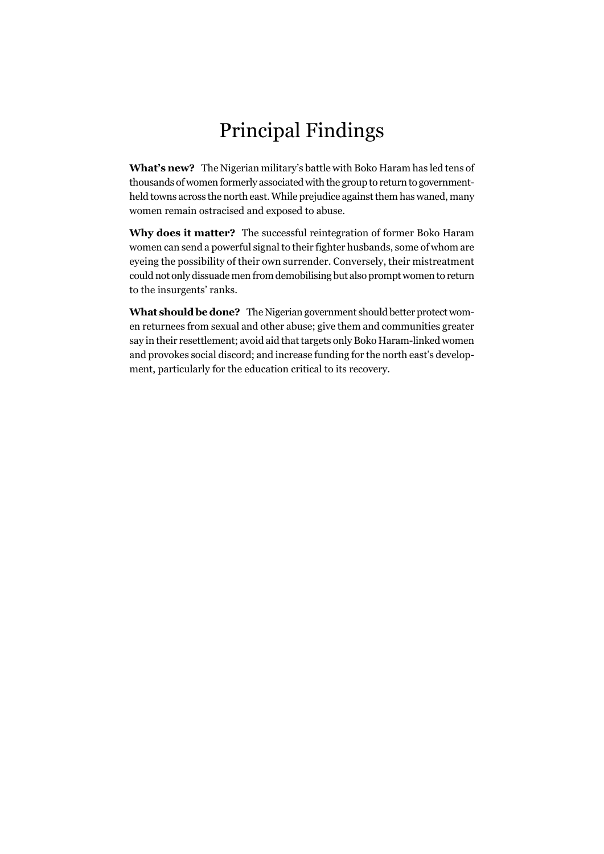# Principal Findings

**What's new?** The Nigerian military's battle with Boko Haram has led tens of thousands of women formerly associated with the group to return to governmentheld towns across the north east. While prejudice against them has waned, many women remain ostracised and exposed to abuse.

**Why does it matter?** The successful reintegration of former Boko Haram women can send a powerful signal to their fighter husbands, some of whom are eyeing the possibility of their own surrender. Conversely, their mistreatment could not only dissuade men from demobilising but also prompt women to return to the insurgents' ranks.

**What should be done?** The Nigerian government should better protect women returnees from sexual and other abuse; give them and communities greater say in their resettlement; avoid aid that targets only Boko Haram-linked women and provokes social discord; and increase funding for the north east's development, particularly for the education critical to its recovery.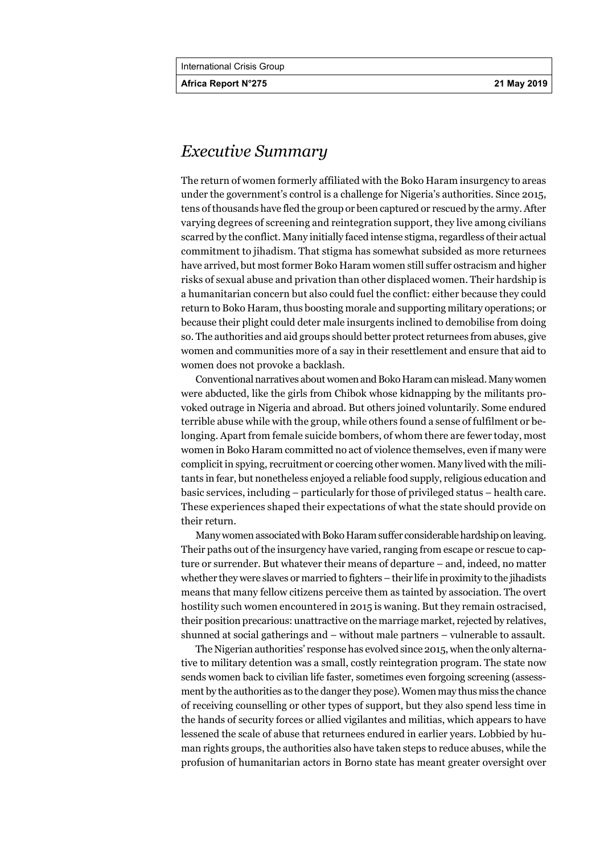**Africa Report N°275 21 May 2019** 

# *Executive Summary*

The return of women formerly affiliated with the Boko Haram insurgency to areas under the government's control is a challenge for Nigeria's authorities. Since 2015, tens of thousands have fled the group or been captured or rescued by the army. After varying degrees of screening and reintegration support, they live among civilians scarred by the conflict. Many initially faced intense stigma, regardless of their actual commitment to jihadism. That stigma has somewhat subsided as more returnees have arrived, but most former Boko Haram women still suffer ostracism and higher risks of sexual abuse and privation than other displaced women. Their hardship is a humanitarian concern but also could fuel the conflict: either because they could return to Boko Haram, thus boosting morale and supporting military operations; or because their plight could deter male insurgents inclined to demobilise from doing so. The authorities and aid groups should better protect returnees from abuses, give women and communities more of a say in their resettlement and ensure that aid to women does not provoke a backlash.

Conventional narratives about women and Boko Haram can mislead. Many women were abducted, like the girls from Chibok whose kidnapping by the militants provoked outrage in Nigeria and abroad. But others joined voluntarily. Some endured terrible abuse while with the group, while others found a sense of fulfilment or belonging. Apart from female suicide bombers, of whom there are fewer today, most women in Boko Haram committed no act of violence themselves, even if many were complicit in spying, recruitment or coercing other women. Many lived with the militants in fear, but nonetheless enjoyed a reliable food supply, religious education and basic services, including – particularly for those of privileged status – health care. These experiences shaped their expectations of what the state should provide on their return.

Many women associated with Boko Haram suffer considerable hardship on leaving. Their paths out of the insurgency have varied, ranging from escape or rescue to capture or surrender. But whatever their means of departure – and, indeed, no matter whether they were slaves or married to fighters – their life in proximity to the jihadists means that many fellow citizens perceive them as tainted by association. The overt hostility such women encountered in 2015 is waning. But they remain ostracised, their position precarious: unattractive on the marriage market, rejected by relatives, shunned at social gatherings and – without male partners – vulnerable to assault.

The Nigerian authorities' response has evolved since 2015, when the only alternative to military detention was a small, costly reintegration program. The state now sends women back to civilian life faster, sometimes even forgoing screening (assessment by the authorities as to the danger they pose). Women may thus miss the chance of receiving counselling or other types of support, but they also spend less time in the hands of security forces or allied vigilantes and militias, which appears to have lessened the scale of abuse that returnees endured in earlier years. Lobbied by human rights groups, the authorities also have taken steps to reduce abuses, while the profusion of humanitarian actors in Borno state has meant greater oversight over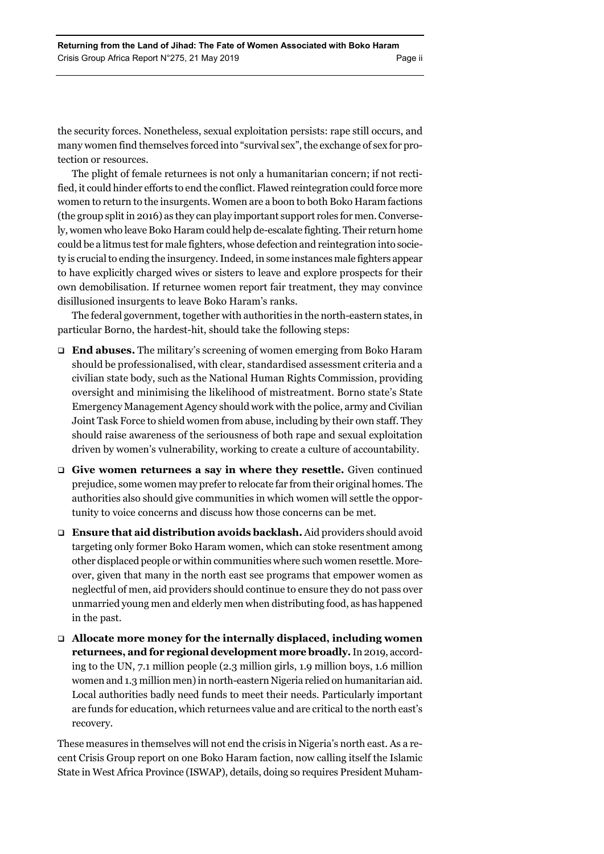the security forces. Nonetheless, sexual exploitation persists: rape still occurs, and many women find themselves forced into "survival sex", the exchange of sex for protection or resources.

The plight of female returnees is not only a humanitarian concern; if not rectified, it could hinder efforts to end the conflict. Flawed reintegration could force more women to return to the insurgents. Women are a boon to both Boko Haram factions (the group split in 2016) as they can play important support roles for men. Conversely, women who leave Boko Haram could help de-escalate fighting. Their return home could be a litmus test for male fighters, whose defection and reintegration into society is crucial to ending the insurgency. Indeed, in some instances male fighters appear to have explicitly charged wives or sisters to leave and explore prospects for their own demobilisation. If returnee women report fair treatment, they may convince disillusioned insurgents to leave Boko Haram's ranks.

The federal government, together with authorities in the north-eastern states, in particular Borno, the hardest-hit, should take the following steps:

- **End abuses.** The military's screening of women emerging from Boko Haram should be professionalised, with clear, standardised assessment criteria and a civilian state body, such as the National Human Rights Commission, providing oversight and minimising the likelihood of mistreatment. Borno state's State Emergency Management Agency should work with the police, army and Civilian Joint Task Force to shield women from abuse, including by their own staff. They should raise awareness of the seriousness of both rape and sexual exploitation driven by women's vulnerability, working to create a culture of accountability.
- **Give women returnees a say in where they resettle.** Given continued prejudice, some women may prefer to relocate far from their original homes. The authorities also should give communities in which women will settle the opportunity to voice concerns and discuss how those concerns can be met.
- **Ensure that aid distribution avoids backlash.** Aid providers should avoid targeting only former Boko Haram women, which can stoke resentment among other displaced people or within communities where such women resettle. Moreover, given that many in the north east see programs that empower women as neglectful of men, aid providers should continue to ensure they do not pass over unmarried young men and elderly men when distributing food, as has happened in the past.
- **Allocate more money for the internally displaced, including women returnees, and for regional development more broadly.** In 2019, according to the UN, 7.1 million people (2.3 million girls, 1.9 million boys, 1.6 million women and 1.3 million men) in north-eastern Nigeria relied on humanitarian aid. Local authorities badly need funds to meet their needs. Particularly important are funds for education, which returnees value and are critical to the north east's recovery.

These measures in themselves will not end the crisis in Nigeria's north east. As a recent Crisis Group report on one Boko Haram faction, now calling itself the Islamic State in West Africa Province (ISWAP), details, doing so requires President Muham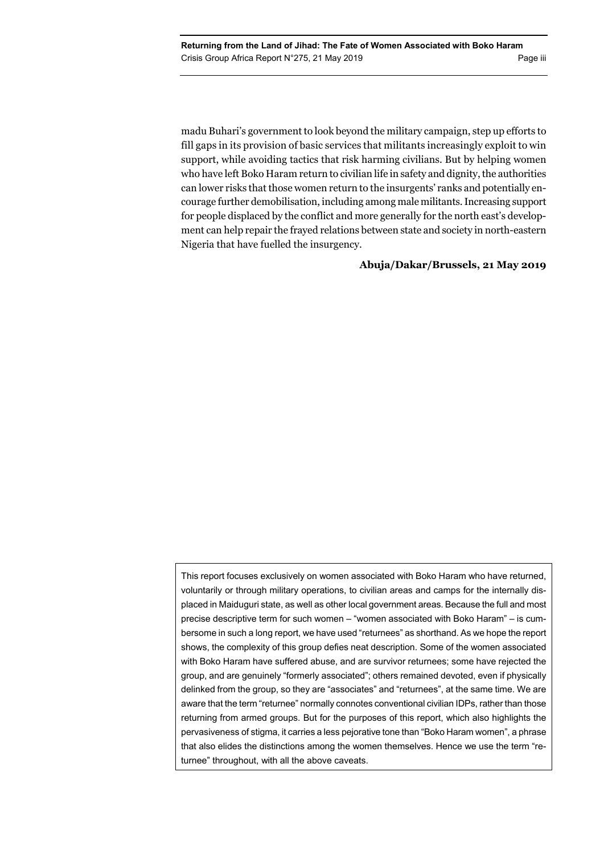madu Buhari's government to look beyond the military campaign, step up efforts to fill gaps in its provision of basic services that militants increasingly exploit to win support, while avoiding tactics that risk harming civilians. But by helping women who have left Boko Haram return to civilian life in safety and dignity, the authorities can lower risks that those women return to the insurgents' ranks and potentially encourage further demobilisation, including among male militants. Increasing support for people displaced by the conflict and more generally for the north east's development can help repair the frayed relations between state and society in north-eastern Nigeria that have fuelled the insurgency.

## **Abuja/Dakar/Brussels, 21 May 2019**

This report focuses exclusively on women associated with Boko Haram who have returned, voluntarily or through military operations, to civilian areas and camps for the internally displaced in Maiduguri state, as well as other local government areas. Because the full and most precise descriptive term for such women – "women associated with Boko Haram" – is cumbersome in such a long report, we have used "returnees" as shorthand. As we hope the report shows, the complexity of this group defies neat description. Some of the women associated with Boko Haram have suffered abuse, and are survivor returnees; some have rejected the group, and are genuinely "formerly associated"; others remained devoted, even if physically delinked from the group, so they are "associates" and "returnees", at the same time. We are aware that the term "returnee" normally connotes conventional civilian IDPs, rather than those returning from armed groups. But for the purposes of this report, which also highlights the pervasiveness of stigma, it carries a less pejorative tone than "Boko Haram women", a phrase that also elides the distinctions among the women themselves. Hence we use the term "returnee" throughout, with all the above caveats.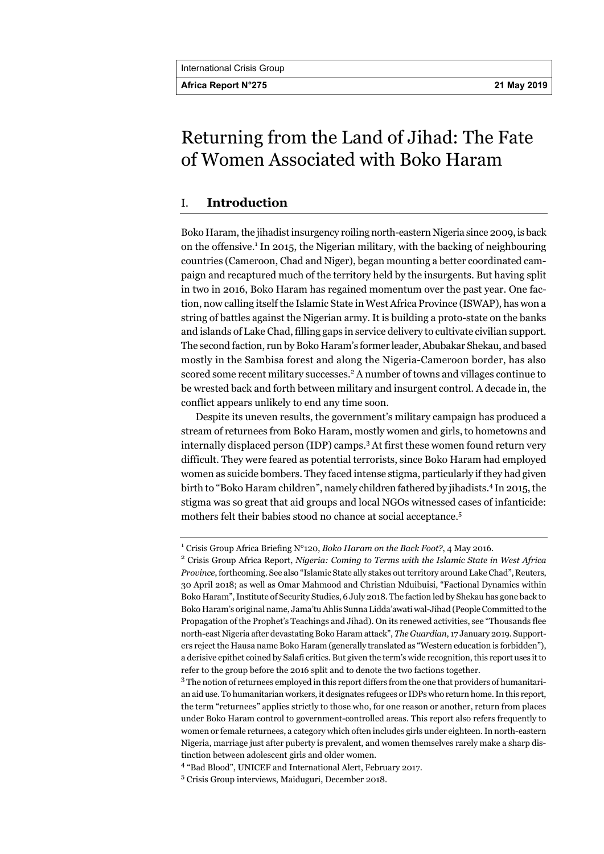**Africa Report N°275 21 May 2019** 

# Returning from the Land of Jihad: The Fate of Women Associated with Boko Haram

# I. **Introduction**

Boko Haram, the jihadist insurgency roiling north-eastern Nigeria since 2009, is back on the offensive.<sup>1</sup> In 2015, the Nigerian military, with the backing of neighbouring countries (Cameroon, Chad and Niger), began mounting a better coordinated campaign and recaptured much of the territory held by the insurgents. But having split in two in 2016, Boko Haram has regained momentum over the past year. One faction, now calling itself the Islamic State in West Africa Province (ISWAP), has won a string of battles against the Nigerian army. It is building a proto-state on the banks and islands of Lake Chad, filling gaps in service delivery to cultivate civilian support. The second faction, run by Boko Haram's former leader, Abubakar Shekau, and based mostly in the Sambisa forest and along the Nigeria-Cameroon border, has also scored some recent military successes.<sup>2</sup> A number of towns and villages continue to be wrested back and forth between military and insurgent control. A decade in, the conflict appears unlikely to end any time soon.

Despite its uneven results, the government's military campaign has produced a stream of returnees from Boko Haram, mostly women and girls, to hometowns and internally displaced person (IDP) camps.<sup>3</sup> At first these women found return very difficult. They were feared as potential terrorists, since Boko Haram had employed women as suicide bombers. They faced intense stigma, particularly if they had given birth to "Boko Haram children", namely children fathered by jihadists.4 In 2015, the stigma was so great that aid groups and local NGOs witnessed cases of infanticide: mothers felt their babies stood no chance at social acceptance.<sup>5</sup>

<sup>&</sup>lt;sup>1</sup> Crisis Group Africa Briefing N°120, *Boko Haram on the Back Foot?*, 4 May 2016.

Crisis Group Africa Report, *Nigeria: Coming to Terms with the Islamic State in West Africa Province*, forthcoming. See also "Islamic State ally stakes out territory around Lake Chad", Reuters, 30 April 2018; as well as Omar Mahmood and Christian Nduibuisi, "Factional Dynamics within Boko Haram", Institute of Security Studies, 6 July 2018. The faction led by Shekau has gone back to Boko Haram's original name, Jama'tu Ahlis Sunna Lidda'awati wal-Jihad (People Committed to the Propagation of the Prophet's Teachings and Jihad). On its renewed activities, see "Thousands flee north-east Nigeria after devastating Boko Haram attack", *The Guardian*, 17 January 2019. Supporters reject the Hausa name Boko Haram (generally translated as "Western education is forbidden"), a derisive epithet coined by Salafi critics. But given the term's wide recognition, this report uses it to refer to the group before the 2016 split and to denote the two factions together.

<sup>&</sup>lt;sup>3</sup> The notion of returnees employed in this report differs from the one that providers of humanitarian aid use. To humanitarian workers, it designates refugees or IDPs who return home. In this report, the term "returnees" applies strictly to those who, for one reason or another, return from places under Boko Haram control to government-controlled areas. This report also refers frequently to women or female returnees, a category which often includes girls under eighteen. In north-eastern Nigeria, marriage just after puberty is prevalent, and women themselves rarely make a sharp distinction between adolescent girls and older women.

<sup>4</sup> "Bad Blood", UNICEF and International Alert, February 2017.

<sup>5</sup> Crisis Group interviews, Maiduguri, December 2018.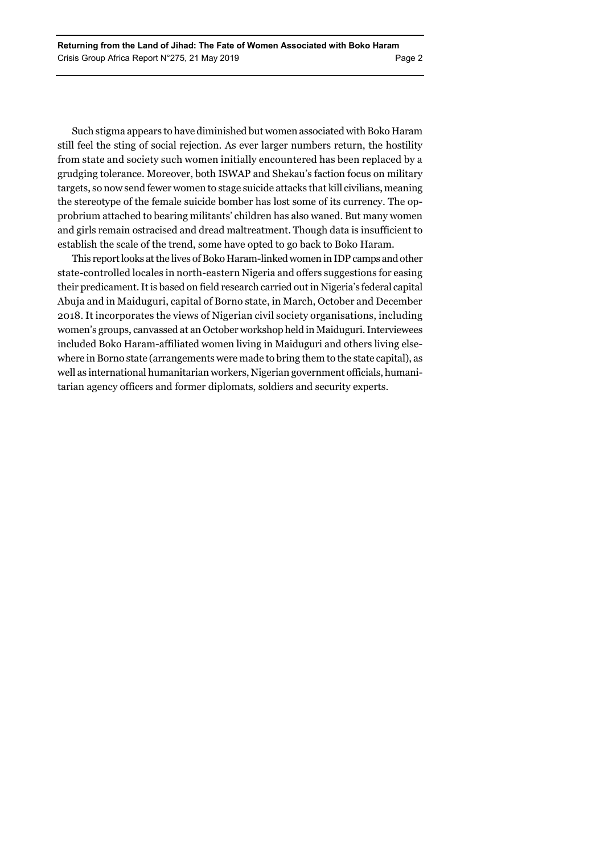Such stigma appears to have diminished but women associated with Boko Haram still feel the sting of social rejection. As ever larger numbers return, the hostility from state and society such women initially encountered has been replaced by a grudging tolerance. Moreover, both ISWAP and Shekau's faction focus on military targets, so now send fewer women to stage suicide attacks that kill civilians, meaning the stereotype of the female suicide bomber has lost some of its currency. The opprobrium attached to bearing militants' children has also waned. But many women and girls remain ostracised and dread maltreatment. Though data is insufficient to establish the scale of the trend, some have opted to go back to Boko Haram.

This report looks at the lives of Boko Haram-linked women in IDP camps and other state-controlled locales in north-eastern Nigeria and offers suggestions for easing their predicament. It is based on field research carried out in Nigeria's federal capital Abuja and in Maiduguri, capital of Borno state, in March, October and December 2018. It incorporates the views of Nigerian civil society organisations, including women's groups, canvassed at an October workshop held in Maiduguri. Interviewees included Boko Haram-affiliated women living in Maiduguri and others living elsewhere in Borno state (arrangements were made to bring them to the state capital), as well as international humanitarian workers, Nigerian government officials, humanitarian agency officers and former diplomats, soldiers and security experts.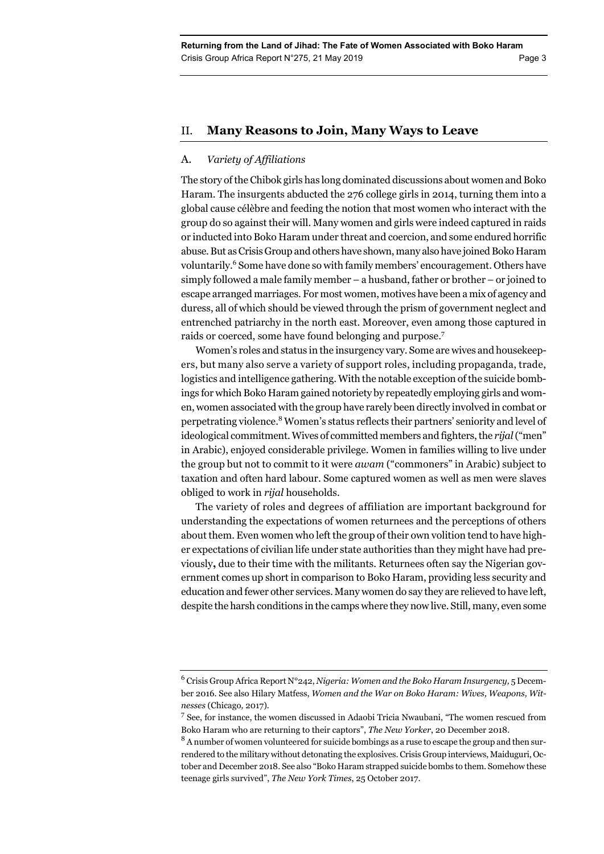# II. **Many Reasons to Join, Many Ways to Leave**

# A. *Variety of Affiliations*

The story of the Chibok girls has long dominated discussions about women and Boko Haram. The insurgents abducted the 276 college girls in 2014, turning them into a global cause célèbre and feeding the notion that most women who interact with the group do so against their will. Many women and girls were indeed captured in raids or inducted into Boko Haram under threat and coercion, and some endured horrific abuse. But as Crisis Group and others have shown, many also have joined Boko Haram voluntarily.<sup>6</sup> Some have done so with family members' encouragement. Others have simply followed a male family member – a husband, father or brother – or joined to escape arranged marriages. For most women, motives have been a mix of agency and duress, all of which should be viewed through the prism of government neglect and entrenched patriarchy in the north east. Moreover, even among those captured in raids or coerced, some have found belonging and purpose.<sup>7</sup>

Women's roles and status in the insurgency vary. Some are wives and housekeepers, but many also serve a variety of support roles, including propaganda, trade, logistics and intelligence gathering. With the notable exception of the suicide bombings for which Boko Haram gained notoriety by repeatedly employing girls and women, women associated with the group have rarely been directly involved in combat or perpetrating violence.<sup>8</sup> Women's status reflects their partners' seniority and level of ideological commitment. Wives of committed members and fighters, the *rijal* ("men" in Arabic), enjoyed considerable privilege. Women in families willing to live under the group but not to commit to it were *awam* ("commoners" in Arabic) subject to taxation and often hard labour. Some captured women as well as men were slaves obliged to work in *rijal* households.

The variety of roles and degrees of affiliation are important background for understanding the expectations of women returnees and the perceptions of others about them. Even women who left the group of their own volition tend to have higher expectations of civilian life under state authorities than they might have had previously**,** due to their time with the militants. Returnees often say the Nigerian government comes up short in comparison to Boko Haram, providing less security and education and fewer other services. Many women do say they are relieved to have left, despite the harsh conditions in the camps where they now live. Still, many, even some

<sup>6</sup> Crisis Group Africa Report N°242, *Nigeria: Women and the Boko Haram Insurgency,* 5 December 2016. See also Hilary Matfess, *Women and the War on Boko Haram: Wives, Weapons, Witnesses* (Chicago, 2017).

 $\frac{7}{2}$  See, for instance, the women discussed in Adaobi Tricia Nwaubani, "The women rescued from Boko Haram who are returning to their captors", *The New Yorker*, 20 December 2018.

<sup>&</sup>lt;sup>8</sup> A number of women volunteered for suicide bombings as a ruse to escape the group and then surrendered to the military without detonating the explosives. Crisis Group interviews, Maiduguri, October and December 2018. See also "Boko Haram strapped suicide bombs to them. Somehow these teenage girls survived", *The New York Times*, 25 October 2017.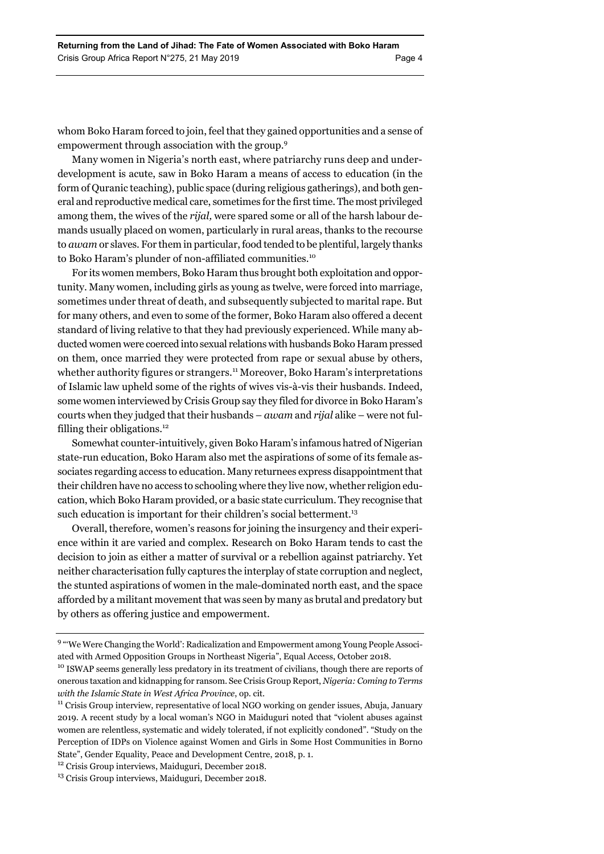whom Boko Haram forced to join, feel that they gained opportunities and a sense of empowerment through association with the group.9

Many women in Nigeria's north east, where patriarchy runs deep and underdevelopment is acute, saw in Boko Haram a means of access to education (in the form of Quranic teaching), public space (during religious gatherings), and both general and reproductive medical care, sometimes for the first time. The most privileged among them, the wives of the *rijal,* were spared some or all of the harsh labour demands usually placed on women, particularly in rural areas, thanks to the recourse to *awam* or slaves. For them in particular, food tended to be plentiful, largely thanks to Boko Haram's plunder of non-affiliated communities.<sup>10</sup>

For its women members, Boko Haram thus brought both exploitation and opportunity. Many women, including girls as young as twelve, were forced into marriage, sometimes under threat of death, and subsequently subjected to marital rape. But for many others, and even to some of the former, Boko Haram also offered a decent standard of living relative to that they had previously experienced. While many abducted women were coerced into sexual relations with husbands Boko Haram pressed on them, once married they were protected from rape or sexual abuse by others, whether authority figures or strangers.<sup>11</sup> Moreover, Boko Haram's interpretations of Islamic law upheld some of the rights of wives vis-à-vis their husbands. Indeed, some women interviewed by Crisis Group say they filed for divorce in Boko Haram's courts when they judged that their husbands – *awam* and *rijal* alike – were not fulfilling their obligations.<sup>12</sup>

Somewhat counter-intuitively, given Boko Haram's infamous hatred of Nigerian state-run education, Boko Haram also met the aspirations of some of its female associates regarding access to education. Many returnees express disappointment that their children have no access to schooling where they live now, whether religion education, which Boko Haram provided, or a basic state curriculum. They recognise that such education is important for their children's social betterment.<sup>13</sup>

Overall, therefore, women's reasons for joining the insurgency and their experience within it are varied and complex. Research on Boko Haram tends to cast the decision to join as either a matter of survival or a rebellion against patriarchy. Yet neither characterisation fully captures the interplay of state corruption and neglect, the stunted aspirations of women in the male-dominated north east, and the space afforded by a militant movement that was seen by many as brutal and predatory but by others as offering justice and empowerment.

<sup>&</sup>lt;sup>9</sup> "We Were Changing the World': Radicalization and Empowerment among Young People Associated with Armed Opposition Groups in Northeast Nigeria", Equal Access, October 2018.<br><sup>10</sup> ISWAP seems generally less predatory in its treatment of civilians, though there are reports of

onerous taxation and kidnapping for ransom. See Crisis Group Report, *Nigeria: Coming to Terms with the Islamic State in West Africa Province*, op. cit.<br><sup>11</sup> Crisis Group interview, representative of local NGO working on gender issues, Abuja, January

<sup>2019.</sup> A recent study by a local woman's NGO in Maiduguri noted that "violent abuses against women are relentless, systematic and widely tolerated, if not explicitly condoned". "Study on the Perception of IDPs on Violence against Women and Girls in Some Host Communities in Borno State", Gender Equality, Peace and Development Centre, 2018, p. 1.

<sup>12</sup> Crisis Group interviews, Maiduguri, December 2018.

<sup>&</sup>lt;sup>13</sup> Crisis Group interviews, Maiduguri, December 2018.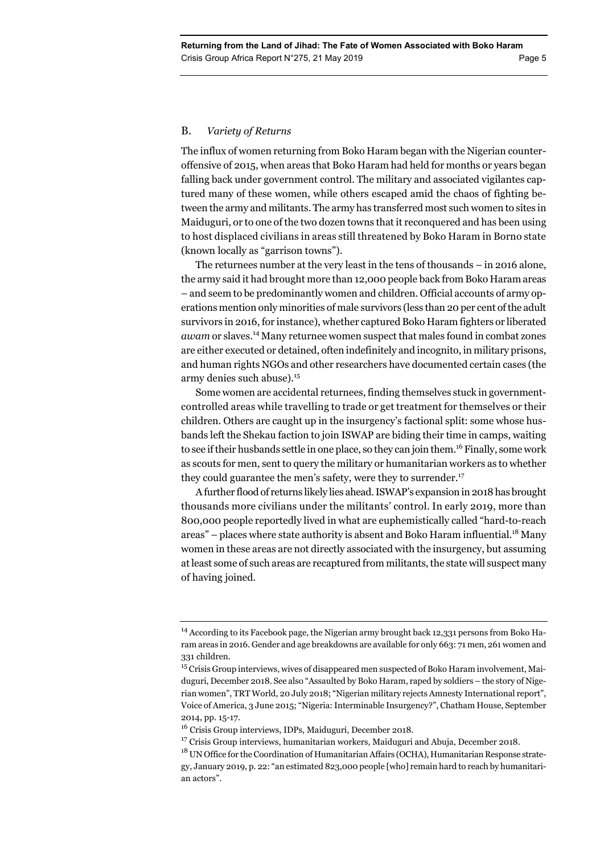# B. *Variety of Returns*

The influx of women returning from Boko Haram began with the Nigerian counteroffensive of 2015, when areas that Boko Haram had held for months or years began falling back under government control. The military and associated vigilantes captured many of these women, while others escaped amid the chaos of fighting between the army and militants. The army has transferred most such women to sites in Maiduguri, or to one of the two dozen towns that it reconquered and has been using to host displaced civilians in areas still threatened by Boko Haram in Borno state (known locally as "garrison towns").

The returnees number at the very least in the tens of thousands – in 2016 alone, the army said it had brought more than 12,000 people back from Boko Haram areas – and seem to be predominantly women and children. Official accounts of army operations mention only minorities of male survivors (less than 20 per cent of the adult survivors in 2016, for instance), whether captured Boko Haram fighters or liberated *awam* or slaves.14 Many returnee women suspect that males found in combat zones are either executed or detained, often indefinitely and incognito, in military prisons, and human rights NGOs and other researchers have documented certain cases (the army denies such abuse).<sup>15</sup>

Some women are accidental returnees, finding themselves stuck in governmentcontrolled areas while travelling to trade or get treatment for themselves or their children. Others are caught up in the insurgency's factional split: some whose husbands left the Shekau faction to join ISWAP are biding their time in camps, waiting to see if their husbands settle in one place, so they can join them.<sup>16</sup> Finally, some work as scouts for men, sent to query the military or humanitarian workers as to whether they could guarantee the men's safety, were they to surrender.<sup>17</sup>

A further flood of returns likely lies ahead. ISWAP's expansion in 2018 has brought thousands more civilians under the militants' control. In early 2019, more than 800,000 people reportedly lived in what are euphemistically called "hard-to-reach areas" – places where state authority is absent and Boko Haram influential.<sup>18</sup> Many women in these areas are not directly associated with the insurgency, but assuming at least some of such areas are recaptured from militants, the state will suspect many of having joined.

<sup>&</sup>lt;sup>14</sup> According to its Facebook page, the Nigerian army brought back 12,331 persons from Boko Haram areas in 2016. Gender and age breakdowns are available for only 663: 71 men, 261 women and 331 children.

<sup>&</sup>lt;sup>15</sup> Crisis Group interviews, wives of disappeared men suspected of Boko Haram involvement, Maiduguri, December 2018. See also "Assaulted by Boko Haram, raped by soldiers – the story of Nigerian women", TRT World, 20 July 2018; "Nigerian military rejects Amnesty International report", Voice of America, 3 June 2015; "Nigeria: Interminable Insurgency?", Chatham House, September 2014, pp. 15-17.

<sup>16</sup> Crisis Group interviews, IDPs, Maiduguri, December 2018.

 $17$  Crisis Group interviews, humanitarian workers, Maiduguri and Abuja, December 2018.

 $^{18}$  UN Office for the Coordination of Humanitarian Affairs (OCHA), Humanitarian Response strategy, January 2019, p. 22: "an estimated 823,000 people [who] remain hard to reach by humanitarian actors".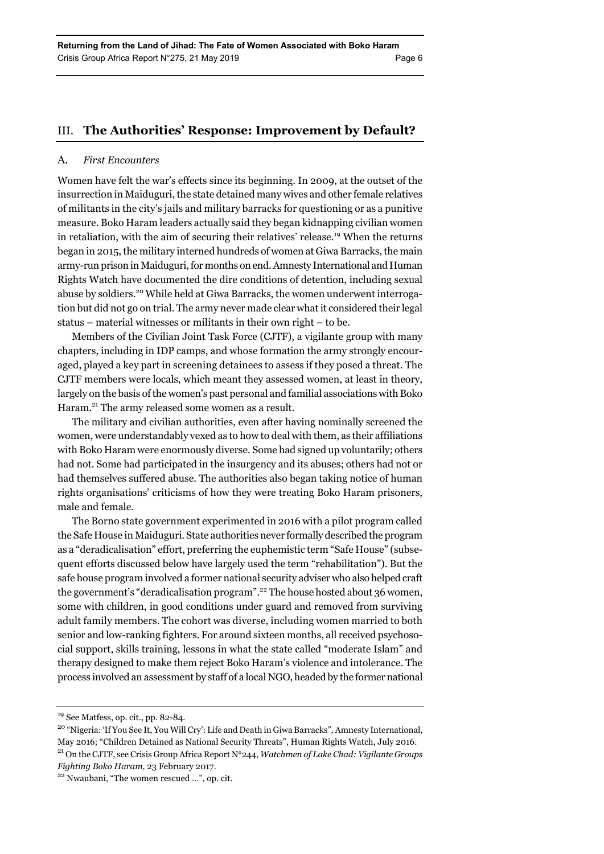# III. **The Authorities' Response: Improvement by Default?**

### A. *First Encounters*

Women have felt the war's effects since its beginning. In 2009, at the outset of the insurrection in Maiduguri, the state detained many wives and other female relatives of militants in the city's jails and military barracks for questioning or as a punitive measure. Boko Haram leaders actually said they began kidnapping civilian women in retaliation, with the aim of securing their relatives' release.<sup>19</sup> When the returns began in 2015, the military interned hundreds of women at Giwa Barracks, the main army-run prison in Maiduguri, for months on end. Amnesty International and Human Rights Watch have documented the dire conditions of detention, including sexual abuse by soldiers.20 While held at Giwa Barracks, the women underwent interrogation but did not go on trial. The army never made clear what it considered their legal status – material witnesses or militants in their own right – to be.

Members of the Civilian Joint Task Force (CJTF), a vigilante group with many chapters, including in IDP camps, and whose formation the army strongly encouraged, played a key part in screening detainees to assess if they posed a threat. The CJTF members were locals, which meant they assessed women, at least in theory, largely on the basis of the women's past personal and familial associations with Boko Haram.<sup>21</sup> The army released some women as a result.

The military and civilian authorities, even after having nominally screened the women, were understandably vexed as to how to deal with them, as their affiliations with Boko Haram were enormously diverse. Some had signed up voluntarily; others had not. Some had participated in the insurgency and its abuses; others had not or had themselves suffered abuse. The authorities also began taking notice of human rights organisations' criticisms of how they were treating Boko Haram prisoners, male and female.

The Borno state government experimented in 2016 with a pilot program called the Safe House in Maiduguri. State authorities never formally described the program as a "deradicalisation" effort, preferring the euphemistic term "Safe House" (subsequent efforts discussed below have largely used the term "rehabilitation"). But the safe house program involved a former national security adviser who also helped craft the government's "deradicalisation program".22 The house hosted about 36 women, some with children, in good conditions under guard and removed from surviving adult family members. The cohort was diverse, including women married to both senior and low-ranking fighters. For around sixteen months, all received psychosocial support, skills training, lessons in what the state called "moderate Islam" and therapy designed to make them reject Boko Haram's violence and intolerance. The process involved an assessment by staff of a local NGO, headed by the former national

<sup>19</sup> See Matfess, op. cit., pp. 82-84.

<sup>20 &</sup>quot;Nigeria: 'If You See It, You Will Cry': Life and Death in Giwa Barracks", Amnesty International, May 2016; "Children Detained as National Security Threats", Human Rights Watch, July 2016. 21 On the CJTF, see Crisis Group Africa Report N°244, *Watchmen of Lake Chad: Vigilante Groups* 

*Fighting Boko Haram,* 23 February 2017. 22 Nwaubani, "The women rescued …", op. cit.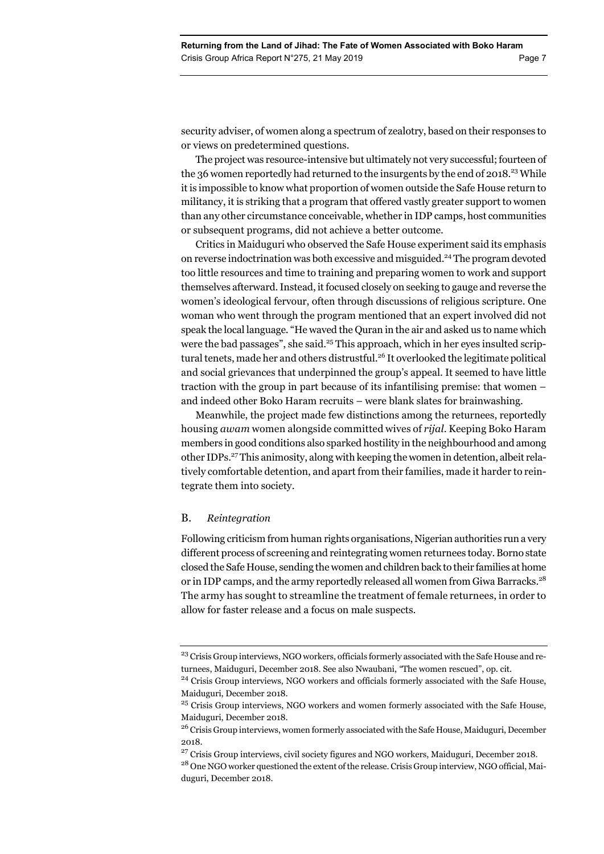security adviser, of women along a spectrum of zealotry, based on their responses to or views on predetermined questions.

The project was resource-intensive but ultimately not very successful; fourteen of the 36 women reportedly had returned to the insurgents by the end of 2018.<sup>23</sup> While it is impossible to know what proportion of women outside the Safe House return to militancy, it is striking that a program that offered vastly greater support to women than any other circumstance conceivable, whether in IDP camps, host communities or subsequent programs, did not achieve a better outcome.

Critics in Maiduguri who observed the Safe House experiment said its emphasis on reverse indoctrination was both excessive and misguided.24 The program devoted too little resources and time to training and preparing women to work and support themselves afterward. Instead, it focused closely on seeking to gauge and reverse the women's ideological fervour, often through discussions of religious scripture. One woman who went through the program mentioned that an expert involved did not speak the local language. "He waved the Quran in the air and asked us to name which were the bad passages", she said.<sup>25</sup> This approach, which in her eyes insulted scriptural tenets, made her and others distrustful.<sup>26</sup> It overlooked the legitimate political and social grievances that underpinned the group's appeal. It seemed to have little traction with the group in part because of its infantilising premise: that women – and indeed other Boko Haram recruits – were blank slates for brainwashing.

Meanwhile, the project made few distinctions among the returnees, reportedly housing *awam* women alongside committed wives of *rijal*. Keeping Boko Haram members in good conditions also sparked hostility in the neighbourhood and among other IDPs.27 This animosity, along with keeping the women in detention, albeit relatively comfortable detention, and apart from their families, made it harder to reintegrate them into society.

# B. *Reintegration*

Following criticism from human rights organisations, Nigerian authorities run a very different process of screening and reintegrating women returnees today. Borno state closed the Safe House, sending the women and children back to their families at home or in IDP camps, and the army reportedly released all women from Giwa Barracks.<sup>28</sup> The army has sought to streamline the treatment of female returnees, in order to allow for faster release and a focus on male suspects.

<sup>&</sup>lt;sup>23</sup> Crisis Group interviews, NGO workers, officials formerly associated with the Safe House and returnees, Maiduguri, December 2018. See also Nwaubani, *"*The women rescued", op. cit.

<sup>&</sup>lt;sup>24</sup> Crisis Group interviews, NGO workers and officials formerly associated with the Safe House, Maiduguri, December 2018.

<sup>&</sup>lt;sup>25</sup> Crisis Group interviews, NGO workers and women formerly associated with the Safe House, Maiduguri, December 2018.

<sup>&</sup>lt;sup>26</sup> Crisis Group interviews, women formerly associated with the Safe House, Maiduguri, December 2018.

<sup>&</sup>lt;sup>27</sup> Crisis Group interviews, civil society figures and NGO workers, Maiduguri, December 2018.

<sup>28</sup> One NGO worker questioned the extent of the release. Crisis Group interview, NGO official, Maiduguri, December 2018.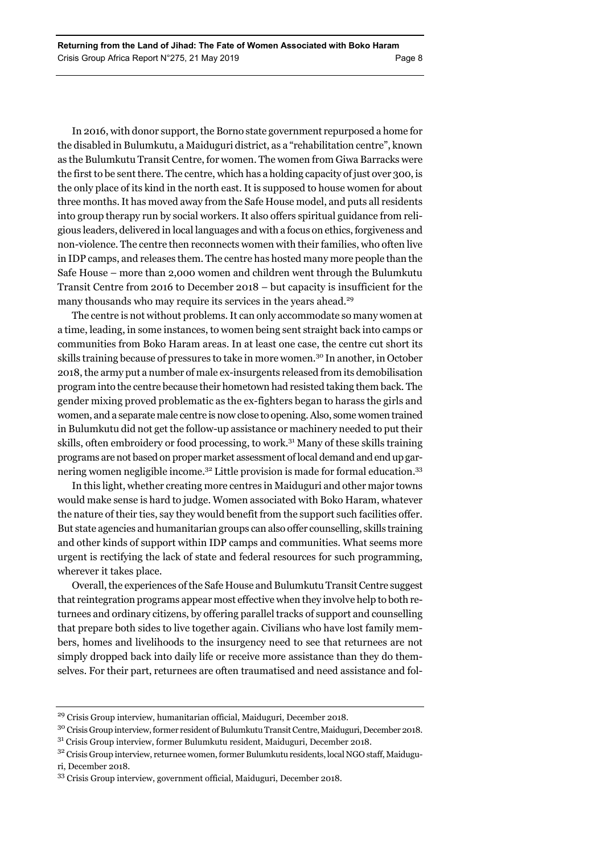In 2016, with donor support, the Borno state government repurposed a home for the disabled in Bulumkutu, a Maiduguri district, as a "rehabilitation centre", known as the Bulumkutu Transit Centre, for women. The women from Giwa Barracks were the first to be sent there. The centre, which has a holding capacity of just over 300, is the only place of its kind in the north east. It is supposed to house women for about three months. It has moved away from the Safe House model, and puts all residents into group therapy run by social workers. It also offers spiritual guidance from religious leaders, delivered in local languages and with a focus on ethics, forgiveness and non-violence. The centre then reconnects women with their families, who often live in IDP camps, and releases them. The centre has hosted many more people than the Safe House – more than 2,000 women and children went through the Bulumkutu Transit Centre from 2016 to December 2018 – but capacity is insufficient for the many thousands who may require its services in the years ahead.<sup>29</sup>

The centre is not without problems. It can only accommodate so many women at a time, leading, in some instances, to women being sent straight back into camps or communities from Boko Haram areas. In at least one case, the centre cut short its skills training because of pressures to take in more women.30 In another, in October 2018, the army put a number of male ex-insurgents released from its demobilisation program into the centre because their hometown had resisted taking them back. The gender mixing proved problematic as the ex-fighters began to harass the girls and women, and a separate male centre is now close to opening. Also, some women trained in Bulumkutu did not get the follow-up assistance or machinery needed to put their skills, often embroidery or food processing, to work.31 Many of these skills training programs are not based on proper market assessment of local demand and end up garnering women negligible income.<sup>32</sup> Little provision is made for formal education.<sup>33</sup>

In this light, whether creating more centres in Maiduguri and other major towns would make sense is hard to judge. Women associated with Boko Haram, whatever the nature of their ties, say they would benefit from the support such facilities offer. But state agencies and humanitarian groups can also offer counselling, skills training and other kinds of support within IDP camps and communities. What seems more urgent is rectifying the lack of state and federal resources for such programming, wherever it takes place.

Overall, the experiences of the Safe House and Bulumkutu Transit Centre suggest that reintegration programs appear most effective when they involve help to both returnees and ordinary citizens, by offering parallel tracks of support and counselling that prepare both sides to live together again. Civilians who have lost family members, homes and livelihoods to the insurgency need to see that returnees are not simply dropped back into daily life or receive more assistance than they do themselves. For their part, returnees are often traumatised and need assistance and fol-

<sup>29</sup> Crisis Group interview, humanitarian official, Maiduguri, December 2018.

 $^{30}$  Crisis Group interview, former resident of Bulumkutu Transit Centre, Maiduguri, December 2018.

<sup>31</sup> Crisis Group interview, former Bulumkutu resident, Maiduguri, December 2018.

<sup>32</sup> Crisis Group interview, returnee women, former Bulumkutu residents, local NGO staff, Maiduguri, December 2018.

<sup>33</sup> Crisis Group interview, government official, Maiduguri, December 2018.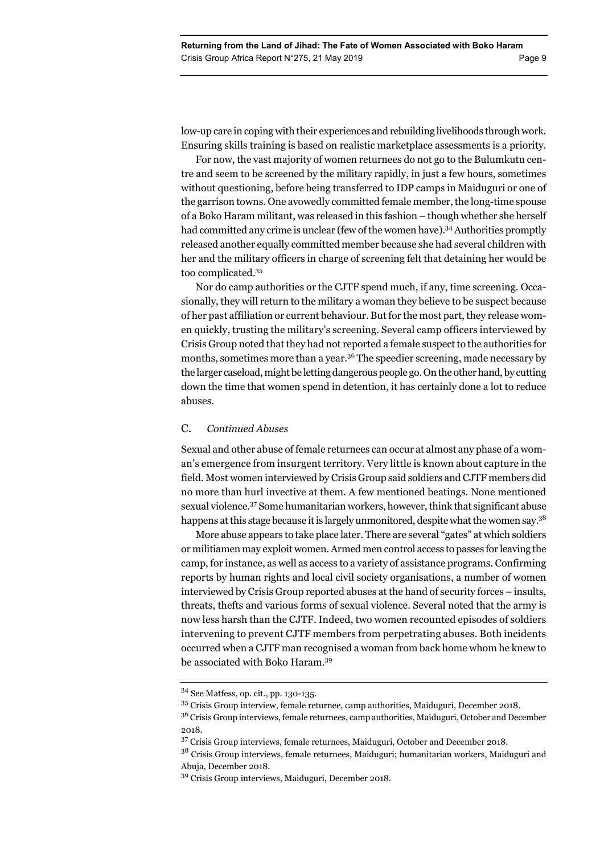low-up care in coping with their experiences and rebuilding livelihoods through work. Ensuring skills training is based on realistic marketplace assessments is a priority.

For now, the vast majority of women returnees do not go to the Bulumkutu centre and seem to be screened by the military rapidly, in just a few hours, sometimes without questioning, before being transferred to IDP camps in Maiduguri or one of the garrison towns. One avowedly committed female member, the long-time spouse of a Boko Haram militant, was released in this fashion – though whether she herself had committed any crime is unclear (few of the women have).<sup>34</sup> Authorities promptly released another equally committed member because she had several children with her and the military officers in charge of screening felt that detaining her would be too complicated.35

Nor do camp authorities or the CJTF spend much, if any, time screening. Occasionally, they will return to the military a woman they believe to be suspect because of her past affiliation or current behaviour. But for the most part, they release women quickly, trusting the military's screening. Several camp officers interviewed by Crisis Group noted that they had not reported a female suspect to the authorities for months, sometimes more than a year.<sup>36</sup> The speedier screening, made necessary by the larger caseload, might be letting dangerous people go. On the other hand, by cutting down the time that women spend in detention, it has certainly done a lot to reduce abuses.

### C. *Continued Abuses*

Sexual and other abuse of female returnees can occur at almost any phase of a woman's emergence from insurgent territory. Very little is known about capture in the field. Most women interviewed by Crisis Group said soldiers and CJTF members did no more than hurl invective at them. A few mentioned beatings. None mentioned sexual violence.37 Some humanitarian workers, however, think that significant abuse happens at this stage because it is largely unmonitored, despite what the women say.<sup>38</sup>

More abuse appears to take place later. There are several "gates" at which soldiers or militiamen may exploit women. Armed men control access to passes for leaving the camp, for instance, as well as access to a variety of assistance programs. Confirming reports by human rights and local civil society organisations, a number of women interviewed by Crisis Group reported abuses at the hand of security forces – insults, threats, thefts and various forms of sexual violence. Several noted that the army is now less harsh than the CJTF. Indeed, two women recounted episodes of soldiers intervening to prevent CJTF members from perpetrating abuses. Both incidents occurred when a CJTF man recognised a woman from back home whom he knew to be associated with Boko Haram.39

<sup>34</sup> See Matfess, op. cit., pp. 130-135.

<sup>35</sup> Crisis Group interview, female returnee, camp authorities, Maiduguri, December 2018.

<sup>&</sup>lt;sup>36</sup> Crisis Group interviews, female returnees, camp authorities, Maiduguri, October and December 2018.

<sup>37</sup> Crisis Group interviews, female returnees, Maiduguri, October and December 2018.

<sup>&</sup>lt;sup>38</sup> Crisis Group interviews, female returnees, Maiduguri; humanitarian workers, Maiduguri and Abuja, December 2018.

<sup>39</sup> Crisis Group interviews, Maiduguri, December 2018.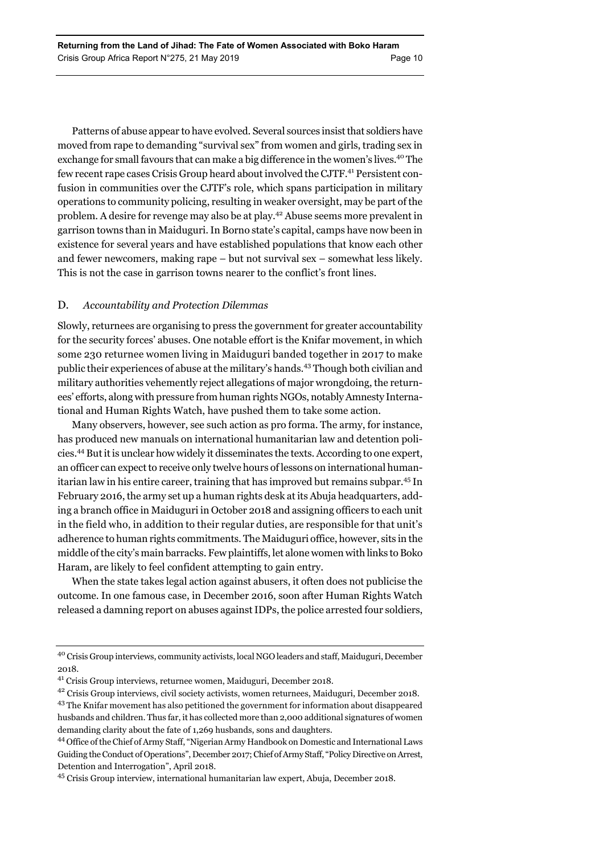Patterns of abuse appear to have evolved. Several sources insist that soldiers have moved from rape to demanding "survival sex" from women and girls, trading sex in exchange for small favours that can make a big difference in the women's lives.40 The few recent rape cases Crisis Group heard about involved the CJTF.41 Persistent confusion in communities over the CJTF's role, which spans participation in military operations to community policing, resulting in weaker oversight, may be part of the problem. A desire for revenge may also be at play.42 Abuse seems more prevalent in garrison towns than in Maiduguri. In Borno state's capital, camps have now been in existence for several years and have established populations that know each other and fewer newcomers, making rape – but not survival sex – somewhat less likely. This is not the case in garrison towns nearer to the conflict's front lines.

# D. *Accountability and Protection Dilemmas*

Slowly, returnees are organising to press the government for greater accountability for the security forces' abuses. One notable effort is the Knifar movement, in which some 230 returnee women living in Maiduguri banded together in 2017 to make public their experiences of abuse at the military's hands.43 Though both civilian and military authorities vehemently reject allegations of major wrongdoing, the returnees' efforts, along with pressure from human rights NGOs, notably Amnesty International and Human Rights Watch, have pushed them to take some action.

Many observers, however, see such action as pro forma. The army, for instance, has produced new manuals on international humanitarian law and detention policies.44 But it is unclear how widely it disseminates the texts. According to one expert, an officer can expect to receive only twelve hours of lessons on international humanitarian law in his entire career, training that has improved but remains subpar.45 In February 2016, the army set up a human rights desk at its Abuja headquarters, adding a branch office in Maiduguri in October 2018 and assigning officers to each unit in the field who, in addition to their regular duties, are responsible for that unit's adherence to human rights commitments. The Maiduguri office, however, sits in the middle of the city's main barracks. Few plaintiffs, let alone women with links to Boko Haram, are likely to feel confident attempting to gain entry.

When the state takes legal action against abusers, it often does not publicise the outcome. In one famous case, in December 2016, soon after Human Rights Watch released a damning report on abuses against IDPs, the police arrested four soldiers,

<sup>40</sup> Crisis Group interviews, community activists, local NGO leaders and staff, Maiduguri, December 2018.

<sup>41</sup> Crisis Group interviews, returnee women, Maiduguri, December 2018.

<sup>42</sup> Crisis Group interviews, civil society activists, women returnees, Maiduguri, December 2018.

<sup>43</sup> The Knifar movement has also petitioned the government for information about disappeared husbands and children. Thus far, it has collected more than 2,000 additional signatures of women demanding clarity about the fate of 1,269 husbands, sons and daughters.

<sup>44</sup> Office of the Chief of Army Staff, "Nigerian Army Handbook on Domestic and International Laws Guiding the Conduct of Operations", December 2017; Chief of Army Staff, "Policy Directive on Arrest, Detention and Interrogation", April 2018.

<sup>45</sup> Crisis Group interview, international humanitarian law expert, Abuja, December 2018.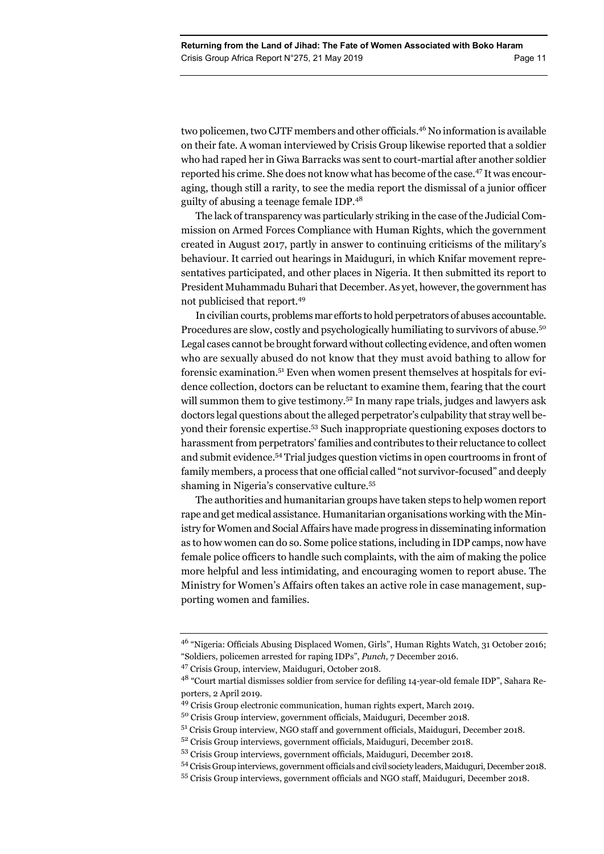two policemen, two CJTF members and other officials.46 No information is available on their fate. A woman interviewed by Crisis Group likewise reported that a soldier who had raped her in Giwa Barracks was sent to court-martial after another soldier reported his crime. She does not know what has become of the case.47 It was encouraging, though still a rarity, to see the media report the dismissal of a junior officer guilty of abusing a teenage female IDP.<sup>48</sup>

The lack of transparency was particularly striking in the case of the Judicial Commission on Armed Forces Compliance with Human Rights, which the government created in August 2017, partly in answer to continuing criticisms of the military's behaviour. It carried out hearings in Maiduguri, in which Knifar movement representatives participated, and other places in Nigeria. It then submitted its report to President Muhammadu Buhari that December. As yet, however, the government has not publicised that report.49

In civilian courts, problems mar efforts to hold perpetrators of abuses accountable. Procedures are slow, costly and psychologically humiliating to survivors of abuse.50 Legal cases cannot be brought forward without collecting evidence, and often women who are sexually abused do not know that they must avoid bathing to allow for forensic examination.51 Even when women present themselves at hospitals for evidence collection, doctors can be reluctant to examine them, fearing that the court will summon them to give testimony.<sup>52</sup> In many rape trials, judges and lawyers ask doctors legal questions about the alleged perpetrator's culpability that stray well beyond their forensic expertise.53 Such inappropriate questioning exposes doctors to harassment from perpetrators' families and contributes to their reluctance to collect and submit evidence.54 Trial judges question victims in open courtrooms in front of family members, a process that one official called "not survivor-focused" and deeply shaming in Nigeria's conservative culture.55

The authorities and humanitarian groups have taken steps to help women report rape and get medical assistance. Humanitarian organisations working with the Ministry for Women and Social Affairs have made progress in disseminating information as to how women can do so. Some police stations, including in IDP camps, now have female police officers to handle such complaints, with the aim of making the police more helpful and less intimidating, and encouraging women to report abuse. The Ministry for Women's Affairs often takes an active role in case management, supporting women and families.

<sup>46 &</sup>quot;Nigeria: Officials Abusing Displaced Women, Girls", Human Rights Watch, 31 October 2016; "Soldiers, policemen arrested for raping IDPs", *Punch*, 7 December 2016.

<sup>47</sup> Crisis Group, interview, Maiduguri, October 2018.

<sup>48 &</sup>quot;Court martial dismisses soldier from service for defiling 14-year-old female IDP", Sahara Reporters, 2 April 2019.

<sup>49</sup> Crisis Group electronic communication, human rights expert, March 2019.

<sup>50</sup> Crisis Group interview, government officials, Maiduguri, December 2018.

<sup>51</sup> Crisis Group interview, NGO staff and government officials, Maiduguri, December 2018.

<sup>52</sup> Crisis Group interviews, government officials, Maiduguri, December 2018.

<sup>53</sup> Crisis Group interviews, government officials, Maiduguri, December 2018.

<sup>54</sup> Crisis Group interviews, government officials and civil society leaders, Maiduguri, December 2018.

<sup>55</sup> Crisis Group interviews, government officials and NGO staff, Maiduguri, December 2018.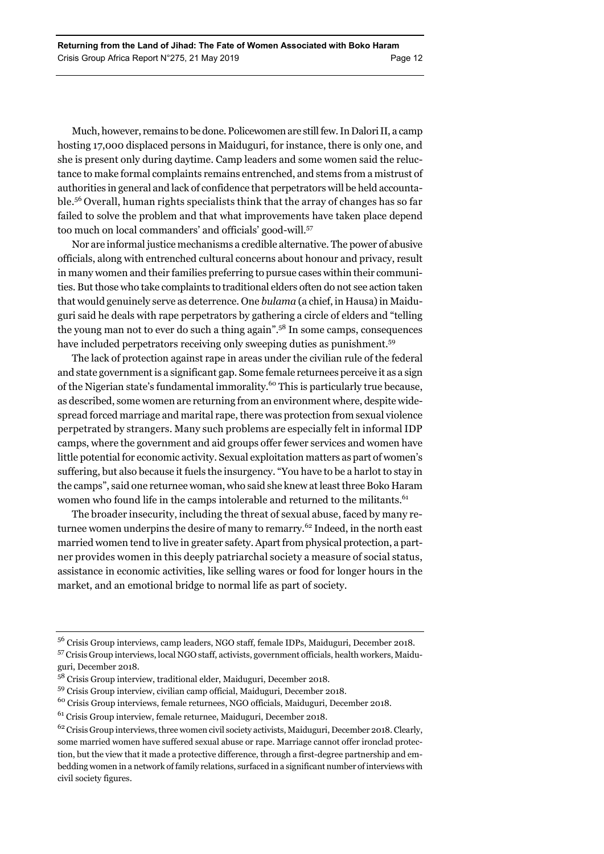Much, however, remains to be done. Policewomen are still few. In Dalori II, a camp hosting 17,000 displaced persons in Maiduguri, for instance, there is only one, and she is present only during daytime. Camp leaders and some women said the reluctance to make formal complaints remains entrenched, and stems from a mistrust of authorities in general and lack of confidence that perpetrators will be held accountable.56 Overall, human rights specialists think that the array of changes has so far failed to solve the problem and that what improvements have taken place depend too much on local commanders' and officials' good-will.57

Nor are informal justice mechanisms a credible alternative. The power of abusive officials, along with entrenched cultural concerns about honour and privacy, result in many women and their families preferring to pursue cases within their communities. But those who take complaints to traditional elders often do not see action taken that would genuinely serve as deterrence. One *bulama* (a chief, in Hausa) in Maiduguri said he deals with rape perpetrators by gathering a circle of elders and "telling the young man not to ever do such a thing again".58 In some camps, consequences have included perpetrators receiving only sweeping duties as punishment.<sup>59</sup>

The lack of protection against rape in areas under the civilian rule of the federal and state government is a significant gap. Some female returnees perceive it as a sign of the Nigerian state's fundamental immorality.60 This is particularly true because, as described, some women are returning from an environment where, despite widespread forced marriage and marital rape, there was protection from sexual violence perpetrated by strangers. Many such problems are especially felt in informal IDP camps, where the government and aid groups offer fewer services and women have little potential for economic activity. Sexual exploitation matters as part of women's suffering, but also because it fuels the insurgency. "You have to be a harlot to stay in the camps", said one returnee woman, who said she knew at least three Boko Haram women who found life in the camps intolerable and returned to the militants.<sup>61</sup>

The broader insecurity, including the threat of sexual abuse, faced by many returnee women underpins the desire of many to remarry.<sup>62</sup> Indeed, in the north east married women tend to live in greater safety. Apart from physical protection, a partner provides women in this deeply patriarchal society a measure of social status, assistance in economic activities, like selling wares or food for longer hours in the market, and an emotional bridge to normal life as part of society.

- 59 Crisis Group interview, civilian camp official, Maiduguri, December 2018.
- 60 Crisis Group interviews, female returnees, NGO officials, Maiduguri, December 2018.
- 61 Crisis Group interview, female returnee, Maiduguri, December 2018.

<sup>56</sup> Crisis Group interviews, camp leaders, NGO staff, female IDPs, Maiduguri, December 2018.

<sup>57</sup> Crisis Group interviews, local NGO staff, activists, government officials, health workers, Maiduguri, December 2018.

<sup>58</sup> Crisis Group interview, traditional elder, Maiduguri, December 2018.

 $62$  Crisis Group interviews, three women civil society activists, Maiduguri, December 2018. Clearly, some married women have suffered sexual abuse or rape. Marriage cannot offer ironclad protection, but the view that it made a protective difference, through a first-degree partnership and embedding women in a network of family relations, surfaced in a significant number of interviews with civil society figures.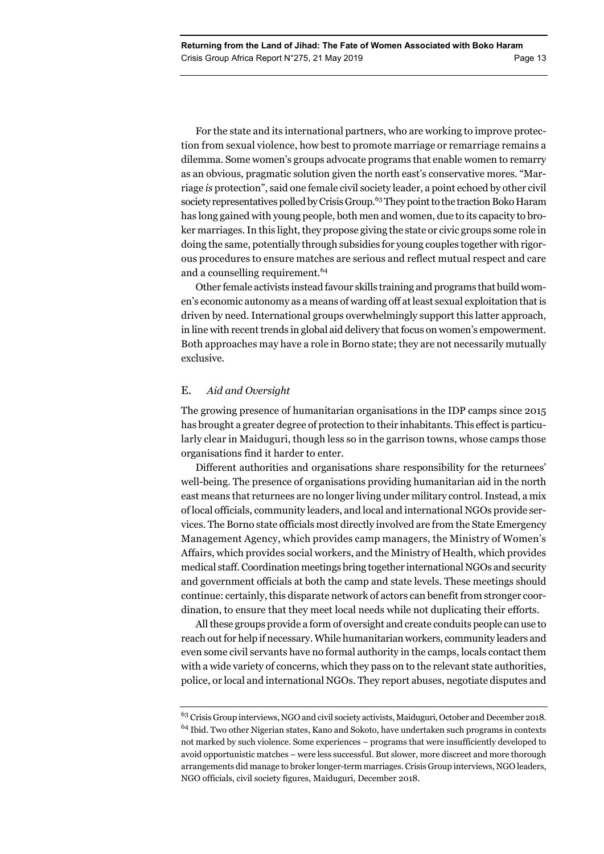For the state and its international partners, who are working to improve protection from sexual violence, how best to promote marriage or remarriage remains a dilemma. Some women's groups advocate programs that enable women to remarry as an obvious, pragmatic solution given the north east's conservative mores. "Marriage *is* protection", said one female civil society leader, a point echoed by other civil society representatives polled by Crisis Group.<sup>63</sup> They point to the traction Boko Haram has long gained with young people, both men and women, due to its capacity to broker marriages. In this light, they propose giving the state or civic groups some role in doing the same, potentially through subsidies for young couples together with rigorous procedures to ensure matches are serious and reflect mutual respect and care and a counselling requirement.<sup>64</sup>

Other female activists instead favour skills training and programs that build women's economic autonomy as a means of warding off at least sexual exploitation that is driven by need. International groups overwhelmingly support this latter approach, in line with recent trends in global aid delivery that focus on women's empowerment. Both approaches may have a role in Borno state; they are not necessarily mutually exclusive.

### E. *Aid and Oversight*

The growing presence of humanitarian organisations in the IDP camps since 2015 has brought a greater degree of protection to their inhabitants. This effect is particularly clear in Maiduguri, though less so in the garrison towns, whose camps those organisations find it harder to enter.

Different authorities and organisations share responsibility for the returnees' well-being. The presence of organisations providing humanitarian aid in the north east means that returnees are no longer living under military control. Instead, a mix of local officials, community leaders, and local and international NGOs provide services. The Borno state officials most directly involved are from the State Emergency Management Agency, which provides camp managers, the Ministry of Women's Affairs, which provides social workers, and the Ministry of Health, which provides medical staff. Coordination meetings bring together international NGOs and security and government officials at both the camp and state levels. These meetings should continue: certainly, this disparate network of actors can benefit from stronger coordination, to ensure that they meet local needs while not duplicating their efforts.

All these groups provide a form of oversight and create conduits people can use to reach out for help if necessary. While humanitarian workers, community leaders and even some civil servants have no formal authority in the camps, locals contact them with a wide variety of concerns, which they pass on to the relevant state authorities, police, or local and international NGOs. They report abuses, negotiate disputes and

 $^{63}$  Crisis Group interviews, NGO and civil society activists, Maiduguri, October and December 2018. 64 Ibid. Two other Nigerian states, Kano and Sokoto, have undertaken such programs in contexts not marked by such violence. Some experiences – programs that were insufficiently developed to avoid opportunistic matches – were less successful. But slower, more discreet and more thorough arrangements did manage to broker longer-term marriages. Crisis Group interviews, NGO leaders, NGO officials, civil society figures, Maiduguri, December 2018.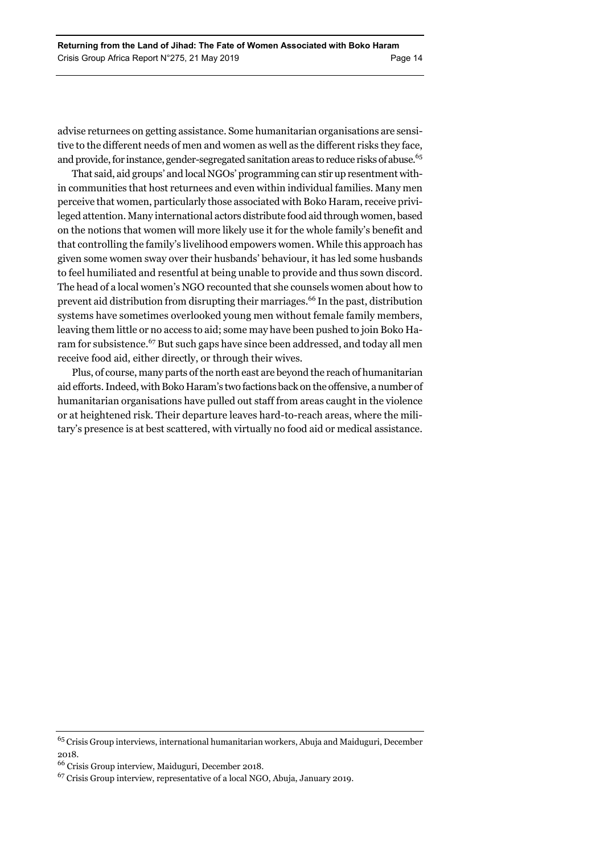advise returnees on getting assistance. Some humanitarian organisations are sensitive to the different needs of men and women as well as the different risks they face, and provide, for instance, gender-segregated sanitation areas to reduce risks of abuse.<sup>65</sup>

That said, aid groups' and local NGOs' programming can stir up resentment within communities that host returnees and even within individual families. Many men perceive that women, particularly those associated with Boko Haram, receive privileged attention. Many international actors distribute food aid through women, based on the notions that women will more likely use it for the whole family's benefit and that controlling the family's livelihood empowers women. While this approach has given some women sway over their husbands' behaviour, it has led some husbands to feel humiliated and resentful at being unable to provide and thus sown discord. The head of a local women's NGO recounted that she counsels women about how to prevent aid distribution from disrupting their marriages.66 In the past, distribution systems have sometimes overlooked young men without female family members, leaving them little or no access to aid; some may have been pushed to join Boko Haram for subsistence.<sup>67</sup> But such gaps have since been addressed, and today all men receive food aid, either directly, or through their wives.

Plus, of course, many parts of the north east are beyond the reach of humanitarian aid efforts. Indeed, with Boko Haram's two factions back on the offensive, a number of humanitarian organisations have pulled out staff from areas caught in the violence or at heightened risk. Their departure leaves hard-to-reach areas, where the military's presence is at best scattered, with virtually no food aid or medical assistance.

 $\rm ^{65}Crisis$  Group interviews, international humanitarian workers, Abuja and Maiduguri, December 2018.

<sup>66</sup> Crisis Group interview, Maiduguri, December 2018.

<sup>67</sup> Crisis Group interview, representative of a local NGO, Abuja, January 2019.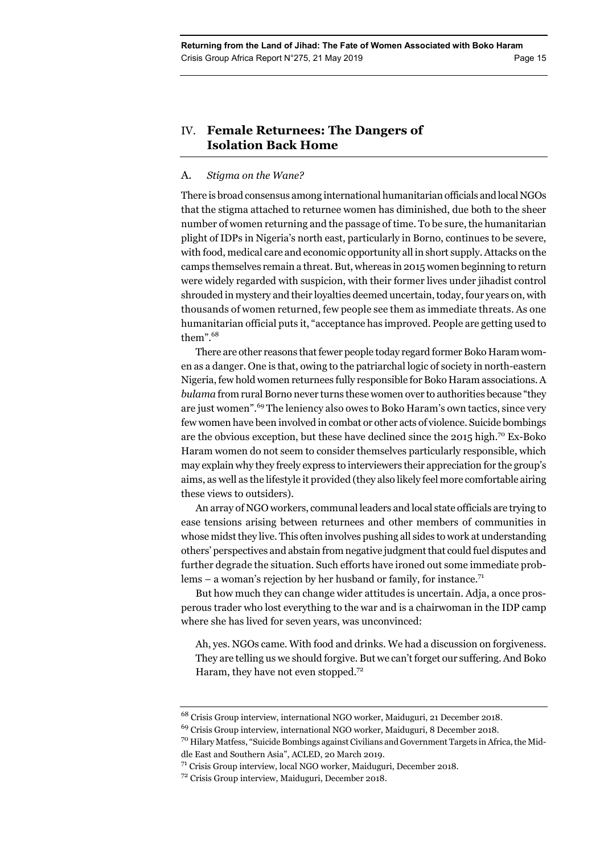# IV. **Female Returnees: The Dangers of Isolation Back Home**

## A. *Stigma on the Wane?*

There is broad consensus among international humanitarian officials and local NGOs that the stigma attached to returnee women has diminished, due both to the sheer number of women returning and the passage of time. To be sure, the humanitarian plight of IDPs in Nigeria's north east, particularly in Borno, continues to be severe, with food, medical care and economic opportunity all in short supply. Attacks on the camps themselves remain a threat. But, whereas in 2015 women beginning to return were widely regarded with suspicion, with their former lives under jihadist control shrouded in mystery and their loyalties deemed uncertain, today, four years on, with thousands of women returned, few people see them as immediate threats. As one humanitarian official puts it, "acceptance has improved. People are getting used to them".<sup>68</sup>

There are other reasons that fewer people today regard former Boko Haram women as a danger. One is that, owing to the patriarchal logic of society in north-eastern Nigeria, few hold women returnees fully responsible for Boko Haram associations. A *bulama* from rural Borno never turns these women over to authorities because "they are just women".<sup>69</sup> The leniency also owes to Boko Haram's own tactics, since very few women have been involved in combat or other acts of violence. Suicide bombings are the obvious exception, but these have declined since the 2015 high.<sup>70</sup> Ex-Boko Haram women do not seem to consider themselves particularly responsible, which may explain why they freely express to interviewers their appreciation for the group's aims, as well as the lifestyle it provided (they also likely feel more comfortable airing these views to outsiders).

An array of NGO workers, communal leaders and local state officials are trying to ease tensions arising between returnees and other members of communities in whose midst they live. This often involves pushing all sides to work at understanding others' perspectives and abstain from negative judgment that could fuel disputes and further degrade the situation. Such efforts have ironed out some immediate problems – a woman's rejection by her husband or family, for instance.<sup>71</sup>

But how much they can change wider attitudes is uncertain. Adja, a once prosperous trader who lost everything to the war and is a chairwoman in the IDP camp where she has lived for seven years, was unconvinced:

Ah, yes. NGOs came. With food and drinks. We had a discussion on forgiveness. They are telling us we should forgive. But we can't forget our suffering. And Boko Haram, they have not even stopped.<sup>72</sup>

 $^{68}$  Crisis Group interview, international NGO worker, Maiduguri, 21 December 2018.

 $^{69}$  Crisis Group interview, international NGO worker, Maiduguri, 8 December 2018.

 $^{70}$  Hilary Matfess, "Suicide Bombings against Civilians and Government Targets in Africa, the Middle East and Southern Asia", ACLED, 20 March 2019.

<sup>71</sup> Crisis Group interview, local NGO worker, Maiduguri, December 2018.

<sup>72</sup> Crisis Group interview, Maiduguri, December 2018.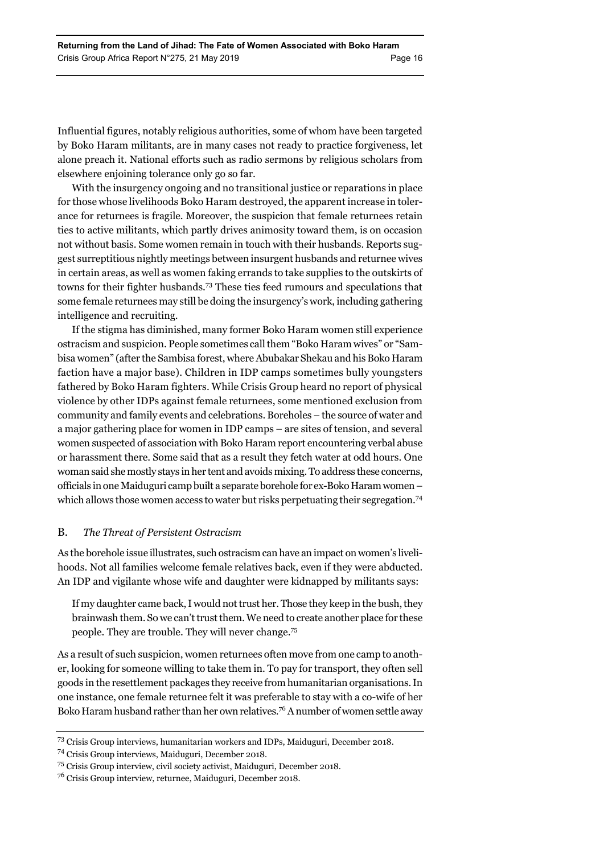Influential figures, notably religious authorities, some of whom have been targeted by Boko Haram militants, are in many cases not ready to practice forgiveness, let alone preach it. National efforts such as radio sermons by religious scholars from elsewhere enjoining tolerance only go so far.

With the insurgency ongoing and no transitional justice or reparations in place for those whose livelihoods Boko Haram destroyed, the apparent increase in tolerance for returnees is fragile. Moreover, the suspicion that female returnees retain ties to active militants, which partly drives animosity toward them, is on occasion not without basis. Some women remain in touch with their husbands. Reports suggest surreptitious nightly meetings between insurgent husbands and returnee wives in certain areas, as well as women faking errands to take supplies to the outskirts of towns for their fighter husbands.73 These ties feed rumours and speculations that some female returnees may still be doing the insurgency's work, including gathering intelligence and recruiting.

If the stigma has diminished, many former Boko Haram women still experience ostracism and suspicion. People sometimes call them "Boko Haram wives" or "Sambisa women" (after the Sambisa forest, where Abubakar Shekau and his Boko Haram faction have a major base). Children in IDP camps sometimes bully youngsters fathered by Boko Haram fighters. While Crisis Group heard no report of physical violence by other IDPs against female returnees, some mentioned exclusion from community and family events and celebrations. Boreholes – the source of water and a major gathering place for women in IDP camps – are sites of tension, and several women suspected of association with Boko Haram report encountering verbal abuse or harassment there. Some said that as a result they fetch water at odd hours. One woman said she mostly stays in her tent and avoids mixing. To address these concerns, officials in one Maiduguri camp built a separate borehole for ex-Boko Haram women – which allows those women access to water but risks perpetuating their segregation.<sup>74</sup>

### B. *The Threat of Persistent Ostracism*

As the borehole issue illustrates, such ostracism can have an impact on women's livelihoods. Not all families welcome female relatives back, even if they were abducted. An IDP and vigilante whose wife and daughter were kidnapped by militants says:

If my daughter came back, I would not trust her. Those they keep in the bush, they brainwash them. So we can't trust them. We need to create another place for these people. They are trouble. They will never change.75

As a result of such suspicion, women returnees often move from one camp to another, looking for someone willing to take them in. To pay for transport, they often sell goods in the resettlement packages they receive from humanitarian organisations. In one instance, one female returnee felt it was preferable to stay with a co-wife of her Boko Haram husband rather than her own relatives.76 A number of women settle away

<sup>73</sup> Crisis Group interviews, humanitarian workers and IDPs, Maiduguri, December 2018.

<sup>74</sup> Crisis Group interviews, Maiduguri, December 2018.

<sup>75</sup> Crisis Group interview, civil society activist, Maiduguri, December 2018.

<sup>76</sup> Crisis Group interview, returnee, Maiduguri, December 2018.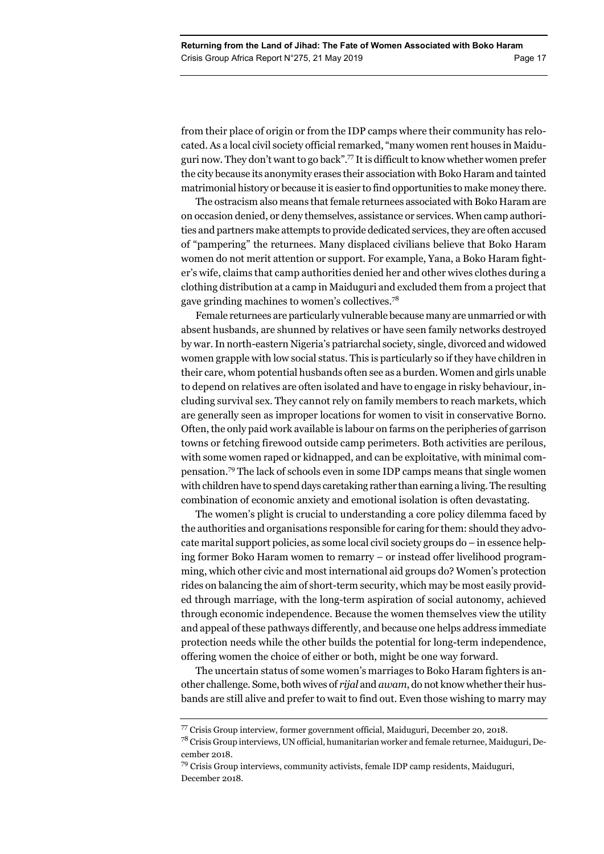from their place of origin or from the IDP camps where their community has relocated. As a local civil society official remarked, "many women rent houses in Maiduguri now. They don't want to go back".77 It is difficult to know whether women prefer the city because its anonymity erases their association with Boko Haram and tainted matrimonial history or because it is easier to find opportunities to make money there.

The ostracism also means that female returnees associated with Boko Haram are on occasion denied, or deny themselves, assistance or services. When camp authorities and partners make attempts to provide dedicated services, they are often accused of "pampering" the returnees. Many displaced civilians believe that Boko Haram women do not merit attention or support. For example, Yana, a Boko Haram fighter's wife, claims that camp authorities denied her and other wives clothes during a clothing distribution at a camp in Maiduguri and excluded them from a project that gave grinding machines to women's collectives.<sup>78</sup>

Female returnees are particularly vulnerable because many are unmarried or with absent husbands, are shunned by relatives or have seen family networks destroyed by war. In north-eastern Nigeria's patriarchal society, single, divorced and widowed women grapple with low social status. This is particularly so if they have children in their care, whom potential husbands often see as a burden. Women and girls unable to depend on relatives are often isolated and have to engage in risky behaviour, including survival sex. They cannot rely on family members to reach markets, which are generally seen as improper locations for women to visit in conservative Borno. Often, the only paid work available is labour on farms on the peripheries of garrison towns or fetching firewood outside camp perimeters. Both activities are perilous, with some women raped or kidnapped, and can be exploitative, with minimal compensation.79 The lack of schools even in some IDP camps means that single women with children have to spend days caretaking rather than earning a living. The resulting combination of economic anxiety and emotional isolation is often devastating.

The women's plight is crucial to understanding a core policy dilemma faced by the authorities and organisations responsible for caring for them: should they advocate marital support policies, as some local civil society groups do – in essence helping former Boko Haram women to remarry – or instead offer livelihood programming, which other civic and most international aid groups do? Women's protection rides on balancing the aim of short-term security, which may be most easily provided through marriage, with the long-term aspiration of social autonomy, achieved through economic independence. Because the women themselves view the utility and appeal of these pathways differently, and because one helps address immediate protection needs while the other builds the potential for long-term independence, offering women the choice of either or both, might be one way forward.

The uncertain status of some women's marriages to Boko Haram fighters is another challenge. Some, both wives of *rijal* and *awam*, do not know whether their husbands are still alive and prefer to wait to find out. Even those wishing to marry may

<sup>77</sup> Crisis Group interview, former government official, Maiduguri, December 20, 2018.

<sup>78</sup> Crisis Group interviews, UN official, humanitarian worker and female returnee, Maiduguri, December 2018.

<sup>79</sup> Crisis Group interviews, community activists, female IDP camp residents, Maiduguri, December 2018.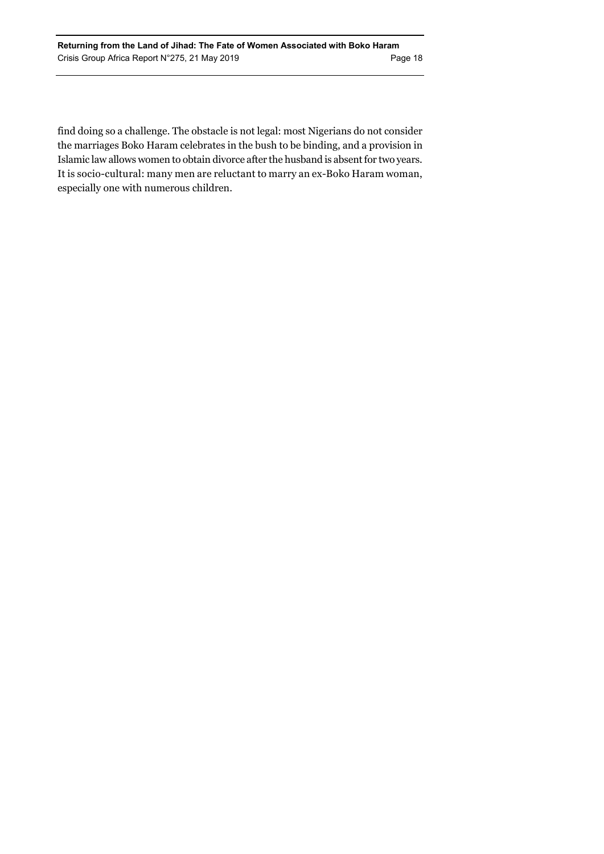find doing so a challenge. The obstacle is not legal: most Nigerians do not consider the marriages Boko Haram celebrates in the bush to be binding, and a provision in Islamic law allows women to obtain divorce after the husband is absent for two years. It is socio-cultural: many men are reluctant to marry an ex-Boko Haram woman, especially one with numerous children.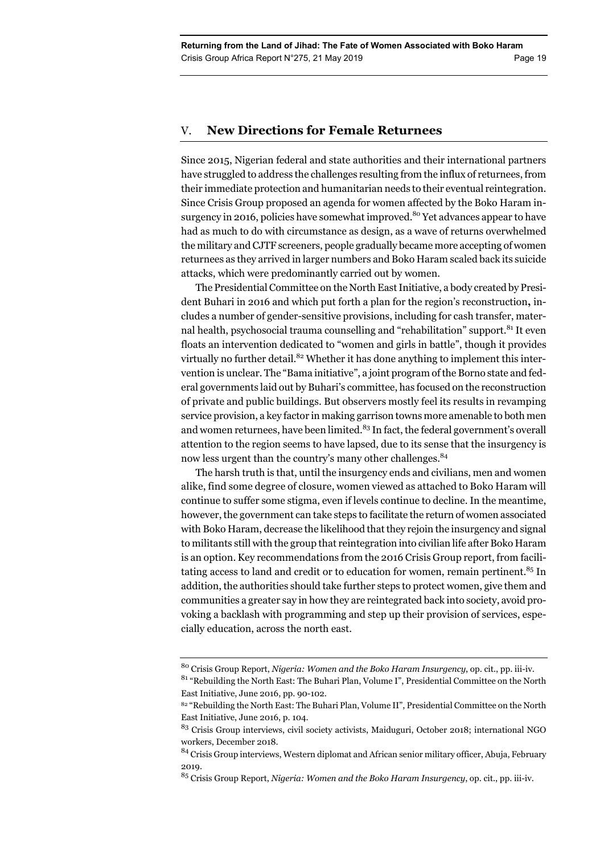# V. **New Directions for Female Returnees**

Since 2015, Nigerian federal and state authorities and their international partners have struggled to address the challenges resulting from the influx of returnees, from their immediate protection and humanitarian needs to their eventual reintegration. Since Crisis Group proposed an agenda for women affected by the Boko Haram insurgency in 2016, policies have somewhat improved.<sup>80</sup> Yet advances appear to have had as much to do with circumstance as design, as a wave of returns overwhelmed the military and CJTF screeners, people gradually became more accepting of women returnees as they arrived in larger numbers and Boko Haram scaled back its suicide attacks, which were predominantly carried out by women.

The Presidential Committee on the North East Initiative, a body created by President Buhari in 2016 and which put forth a plan for the region's reconstruction**,** includes a number of gender-sensitive provisions, including for cash transfer, maternal health, psychosocial trauma counselling and "rehabilitation" support.<sup>81</sup> It even floats an intervention dedicated to "women and girls in battle", though it provides virtually no further detail.<sup>82</sup> Whether it has done anything to implement this intervention is unclear. The "Bama initiative", a joint program of the Borno state and federal governments laid out by Buhari's committee, has focused on the reconstruction of private and public buildings. But observers mostly feel its results in revamping service provision, a key factor in making garrison towns more amenable to both men and women returnees, have been limited.<sup>83</sup> In fact, the federal government's overall attention to the region seems to have lapsed, due to its sense that the insurgency is now less urgent than the country's many other challenges.<sup>84</sup>

The harsh truth is that, until the insurgency ends and civilians, men and women alike, find some degree of closure, women viewed as attached to Boko Haram will continue to suffer some stigma, even if levels continue to decline. In the meantime, however, the government can take steps to facilitate the return of women associated with Boko Haram, decrease the likelihood that they rejoin the insurgency and signal to militants still with the group that reintegration into civilian life after Boko Haram is an option. Key recommendations from the 2016 Crisis Group report, from facilitating access to land and credit or to education for women, remain pertinent. $85$  In addition, the authorities should take further steps to protect women, give them and communities a greater say in how they are reintegrated back into society, avoid provoking a backlash with programming and step up their provision of services, especially education, across the north east.

<sup>80</sup> Crisis Group Report, *Nigeria: Women and the Boko Haram Insurgency*, op. cit., pp. iii-iv.

 $^{81}$  "Rebuilding the North East: The Buhari Plan, Volume I", Presidential Committee on the North East Initiative, June 2016, pp. 90-102.

<sup>82 &</sup>quot;Rebuilding the North East: The Buhari Plan, Volume II", Presidential Committee on the North East Initiative, June 2016, p. 104.

<sup>83</sup> Crisis Group interviews, civil society activists, Maiduguri, October 2018; international NGO workers, December 2018.

<sup>84</sup> Crisis Group interviews, Western diplomat and African senior military officer, Abuja, February 2019.

<sup>85</sup> Crisis Group Report, *Nigeria: Women and the Boko Haram Insurgency*, op. cit., pp. iii-iv.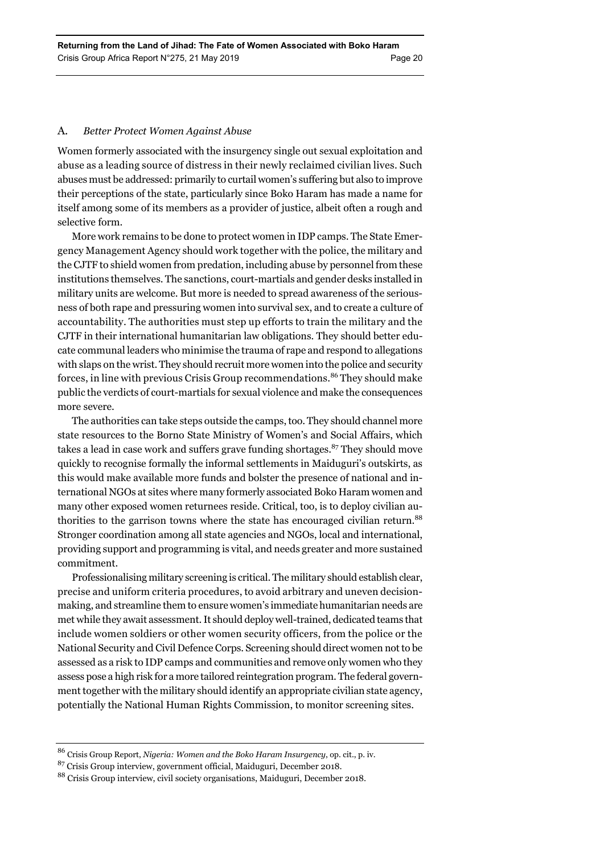#### A. *Better Protect Women Against Abuse*

Women formerly associated with the insurgency single out sexual exploitation and abuse as a leading source of distress in their newly reclaimed civilian lives. Such abuses must be addressed: primarily to curtail women's suffering but also to improve their perceptions of the state, particularly since Boko Haram has made a name for itself among some of its members as a provider of justice, albeit often a rough and selective form.

More work remains to be done to protect women in IDP camps. The State Emergency Management Agency should work together with the police, the military and the CJTF to shield women from predation, including abuse by personnel from these institutions themselves. The sanctions, court-martials and gender desks installed in military units are welcome. But more is needed to spread awareness of the seriousness of both rape and pressuring women into survival sex, and to create a culture of accountability. The authorities must step up efforts to train the military and the CJTF in their international humanitarian law obligations. They should better educate communal leaders who minimise the trauma of rape and respond to allegations with slaps on the wrist. They should recruit more women into the police and security forces, in line with previous Crisis Group recommendations.<sup>86</sup> They should make public the verdicts of court-martials for sexual violence and make the consequences more severe.

The authorities can take steps outside the camps, too. They should channel more state resources to the Borno State Ministry of Women's and Social Affairs, which takes a lead in case work and suffers grave funding shortages. $87$  They should move quickly to recognise formally the informal settlements in Maiduguri's outskirts, as this would make available more funds and bolster the presence of national and international NGOs at sites where many formerly associated Boko Haram women and many other exposed women returnees reside. Critical, too, is to deploy civilian authorities to the garrison towns where the state has encouraged civilian return.<sup>88</sup> Stronger coordination among all state agencies and NGOs, local and international, providing support and programming is vital, and needs greater and more sustained commitment.

Professionalising military screening is critical. The military should establish clear, precise and uniform criteria procedures, to avoid arbitrary and uneven decisionmaking, and streamline them to ensure women's immediate humanitarian needs are met while they await assessment. It should deploy well-trained, dedicated teams that include women soldiers or other women security officers, from the police or the National Security and Civil Defence Corps. Screening should direct women not to be assessed as a risk to IDP camps and communities and remove only women who they assess pose a high risk for a more tailored reintegration program. The federal government together with the military should identify an appropriate civilian state agency, potentially the National Human Rights Commission, to monitor screening sites.

<sup>86</sup> Crisis Group Report, *Nigeria: Women and the Boko Haram Insurgency*, op. cit., p. iv.

<sup>87</sup> Crisis Group interview, government official, Maiduguri, December 2018.

<sup>88</sup> Crisis Group interview, civil society organisations, Maiduguri, December 2018.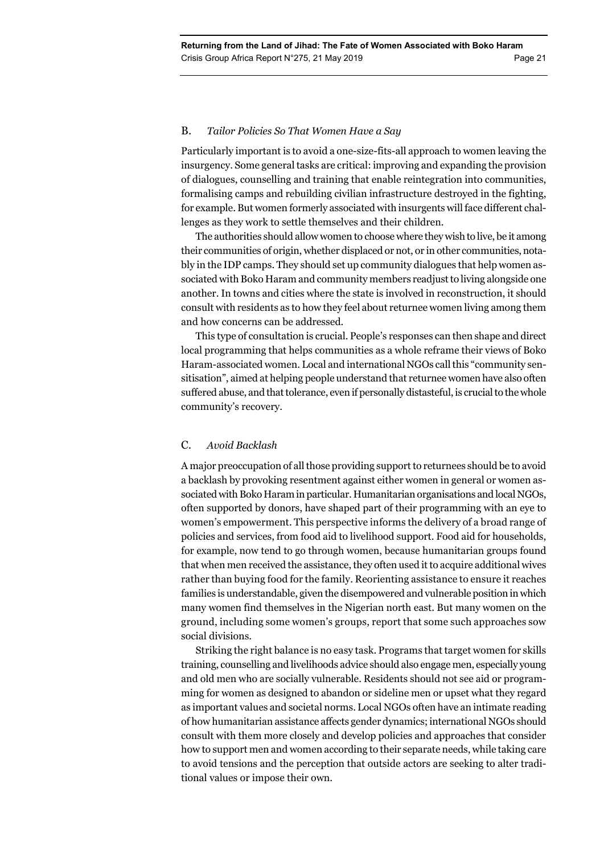## B. *Tailor Policies So That Women Have a Say*

Particularly important is to avoid a one-size-fits-all approach to women leaving the insurgency. Some general tasks are critical: improving and expanding the provision of dialogues, counselling and training that enable reintegration into communities, formalising camps and rebuilding civilian infrastructure destroyed in the fighting, for example. But women formerly associated with insurgents will face different challenges as they work to settle themselves and their children.

The authorities should allow women to choose where they wish to live, be it among their communities of origin, whether displaced or not, or in other communities, notably in the IDP camps. They should set up community dialogues that help women associated with Boko Haram and community members readjust to living alongside one another. In towns and cities where the state is involved in reconstruction, it should consult with residents as to how they feel about returnee women living among them and how concerns can be addressed.

This type of consultation is crucial. People's responses can then shape and direct local programming that helps communities as a whole reframe their views of Boko Haram-associated women. Local and international NGOs call this "community sensitisation", aimed at helping people understand that returnee women have also often suffered abuse, and that tolerance, even if personally distasteful, is crucial to the whole community's recovery.

# C. *Avoid Backlash*

A major preoccupation of all those providing support to returnees should be to avoid a backlash by provoking resentment against either women in general or women associated with Boko Haram in particular. Humanitarian organisations and local NGOs, often supported by donors, have shaped part of their programming with an eye to women's empowerment. This perspective informs the delivery of a broad range of policies and services, from food aid to livelihood support. Food aid for households, for example, now tend to go through women, because humanitarian groups found that when men received the assistance, they often used it to acquire additional wives rather than buying food for the family. Reorienting assistance to ensure it reaches families is understandable, given the disempowered and vulnerable position in which many women find themselves in the Nigerian north east. But many women on the ground, including some women's groups, report that some such approaches sow social divisions.

Striking the right balance is no easy task. Programs that target women for skills training, counselling and livelihoods advice should also engage men, especially young and old men who are socially vulnerable. Residents should not see aid or programming for women as designed to abandon or sideline men or upset what they regard as important values and societal norms. Local NGOs often have an intimate reading of how humanitarian assistance affects gender dynamics; international NGOs should consult with them more closely and develop policies and approaches that consider how to support men and women according to their separate needs, while taking care to avoid tensions and the perception that outside actors are seeking to alter traditional values or impose their own.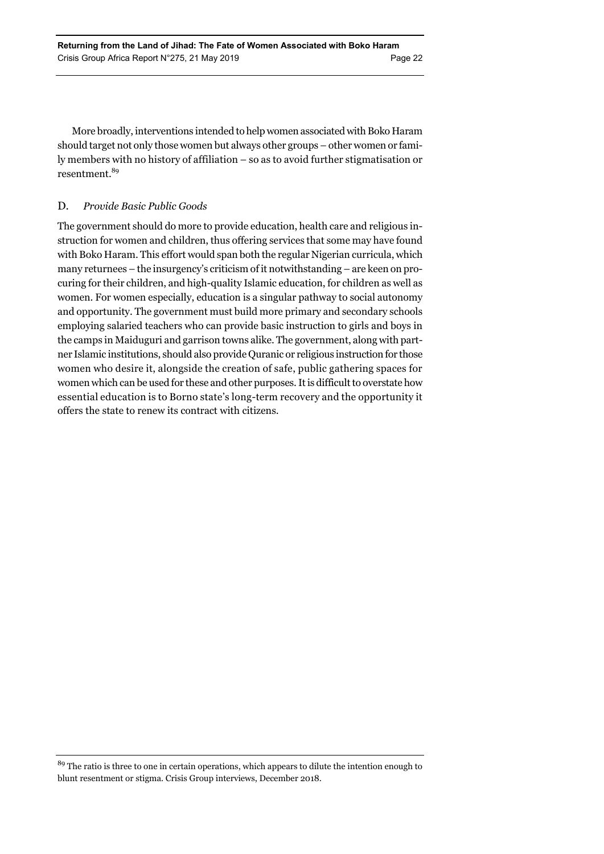More broadly, interventions intended to help women associated with Boko Haram should target not only those women but always other groups – other women or family members with no history of affiliation – so as to avoid further stigmatisation or resentment.<sup>89</sup>

# D. *Provide Basic Public Goods*

The government should do more to provide education, health care and religious instruction for women and children, thus offering services that some may have found with Boko Haram. This effort would span both the regular Nigerian curricula, which many returnees – the insurgency's criticism of it notwithstanding – are keen on procuring for their children, and high-quality Islamic education, for children as well as women. For women especially, education is a singular pathway to social autonomy and opportunity. The government must build more primary and secondary schools employing salaried teachers who can provide basic instruction to girls and boys in the camps in Maiduguri and garrison towns alike. The government, along with partner Islamic institutions, should also provide Quranic or religious instruction for those women who desire it, alongside the creation of safe, public gathering spaces for women which can be used for these and other purposes. It is difficult to overstate how essential education is to Borno state's long-term recovery and the opportunity it offers the state to renew its contract with citizens.

<sup>&</sup>lt;sup>89</sup> The ratio is three to one in certain operations, which appears to dilute the intention enough to blunt resentment or stigma. Crisis Group interviews, December 2018.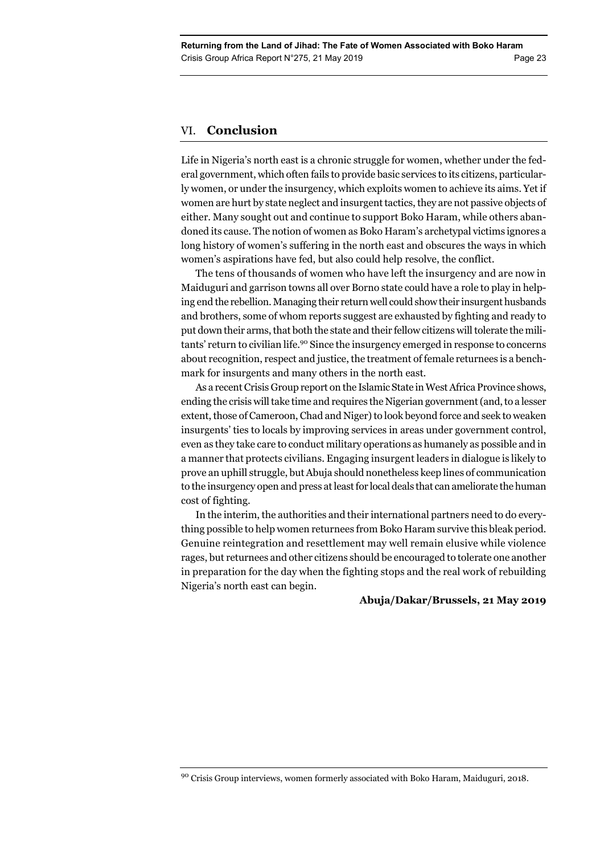# VI. **Conclusion**

Life in Nigeria's north east is a chronic struggle for women, whether under the federal government, which often fails to provide basic services to its citizens, particularly women, or under the insurgency, which exploits women to achieve its aims. Yet if women are hurt by state neglect and insurgent tactics, they are not passive objects of either. Many sought out and continue to support Boko Haram, while others abandoned its cause. The notion of women as Boko Haram's archetypal victims ignores a long history of women's suffering in the north east and obscures the ways in which women's aspirations have fed, but also could help resolve, the conflict.

The tens of thousands of women who have left the insurgency and are now in Maiduguri and garrison towns all over Borno state could have a role to play in helping end the rebellion. Managing their return well could show their insurgent husbands and brothers, some of whom reports suggest are exhausted by fighting and ready to put down their arms, that both the state and their fellow citizens will tolerate the militants' return to civilian life.<sup>90</sup> Since the insurgency emerged in response to concerns about recognition, respect and justice, the treatment of female returnees is a benchmark for insurgents and many others in the north east.

As a recent Crisis Group report on the Islamic State in West Africa Province shows, ending the crisis will take time and requires the Nigerian government (and, to a lesser extent, those of Cameroon, Chad and Niger) to look beyond force and seek to weaken insurgents' ties to locals by improving services in areas under government control, even as they take care to conduct military operations as humanely as possible and in a manner that protects civilians. Engaging insurgent leaders in dialogue is likely to prove an uphill struggle, but Abuja should nonetheless keep lines of communication to the insurgency open and press at least for local deals that can ameliorate the human cost of fighting.

In the interim, the authorities and their international partners need to do everything possible to help women returnees from Boko Haram survive this bleak period. Genuine reintegration and resettlement may well remain elusive while violence rages, but returnees and other citizens should be encouraged to tolerate one another in preparation for the day when the fighting stops and the real work of rebuilding Nigeria's north east can begin.

#### **Abuja/Dakar/Brussels, 21 May 2019**

<sup>&</sup>lt;sup>90</sup> Crisis Group interviews, women formerly associated with Boko Haram, Maiduguri, 2018.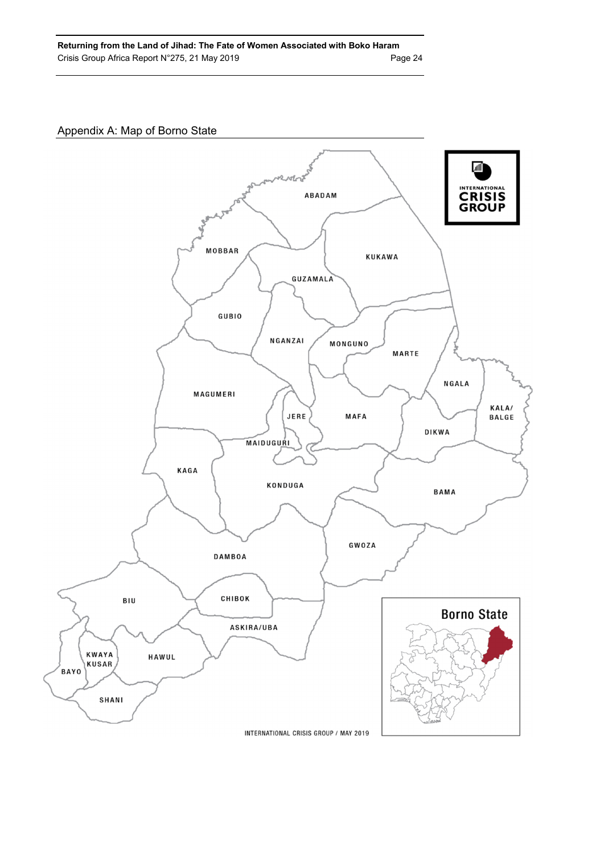# Appendix A: Map of Borno State

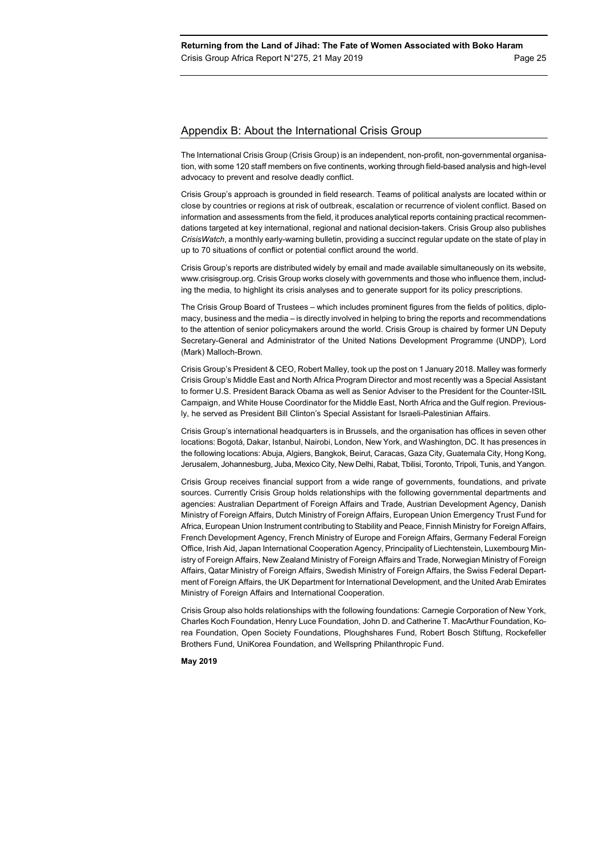#### Appendix B: About the International Crisis Group

The International Crisis Group (Crisis Group) is an independent, non-profit, non-governmental organisation, with some 120 staff members on five continents, working through field-based analysis and high-level advocacy to prevent and resolve deadly conflict.

Crisis Group's approach is grounded in field research. Teams of political analysts are located within or close by countries or regions at risk of outbreak, escalation or recurrence of violent conflict. Based on information and assessments from the field, it produces analytical reports containing practical recommendations targeted at key international, regional and national decision-takers. Crisis Group also publishes *CrisisWatch*, a monthly early-warning bulletin, providing a succinct regular update on the state of play in up to 70 situations of conflict or potential conflict around the world.

Crisis Group's reports are distributed widely by email and made available simultaneously on its website, www.crisisgroup.org. Crisis Group works closely with governments and those who influence them, including the media, to highlight its crisis analyses and to generate support for its policy prescriptions.

The Crisis Group Board of Trustees – which includes prominent figures from the fields of politics, diplomacy, business and the media – is directly involved in helping to bring the reports and recommendations to the attention of senior policymakers around the world. Crisis Group is chaired by former UN Deputy Secretary-General and Administrator of the United Nations Development Programme (UNDP), Lord (Mark) Malloch-Brown.

Crisis Group's President & CEO, Robert Malley, took up the post on 1 January 2018. Malley was formerly Crisis Group's Middle East and North Africa Program Director and most recently was a Special Assistant to former U.S. President Barack Obama as well as Senior Adviser to the President for the Counter-ISIL Campaign, and White House Coordinator for the Middle East, North Africa and the Gulf region. Previously, he served as President Bill Clinton's Special Assistant for Israeli-Palestinian Affairs.

Crisis Group's international headquarters is in Brussels, and the organisation has offices in seven other locations: Bogotá, Dakar, Istanbul, Nairobi, London, New York, and Washington, DC. It has presences in the following locations: Abuja, Algiers, Bangkok, Beirut, Caracas, Gaza City, Guatemala City, Hong Kong, Jerusalem, Johannesburg, Juba, Mexico City, New Delhi, Rabat, Tbilisi, Toronto, Tripoli, Tunis, and Yangon.

Crisis Group receives financial support from a wide range of governments, foundations, and private sources. Currently Crisis Group holds relationships with the following governmental departments and agencies: Australian Department of Foreign Affairs and Trade, Austrian Development Agency, Danish Ministry of Foreign Affairs, Dutch Ministry of Foreign Affairs, European Union Emergency Trust Fund for Africa, European Union Instrument contributing to Stability and Peace, Finnish Ministry for Foreign Affairs, French Development Agency, French Ministry of Europe and Foreign Affairs, Germany Federal Foreign Office, Irish Aid, Japan International Cooperation Agency, Principality of Liechtenstein, Luxembourg Ministry of Foreign Affairs, New Zealand Ministry of Foreign Affairs and Trade, Norwegian Ministry of Foreign Affairs, Qatar Ministry of Foreign Affairs, Swedish Ministry of Foreign Affairs, the Swiss Federal Department of Foreign Affairs, the UK Department for International Development, and the United Arab Emirates Ministry of Foreign Affairs and International Cooperation.

Crisis Group also holds relationships with the following foundations: Carnegie Corporation of New York, Charles Koch Foundation, Henry Luce Foundation, John D. and Catherine T. MacArthur Foundation, Korea Foundation, Open Society Foundations, Ploughshares Fund, Robert Bosch Stiftung, Rockefeller Brothers Fund, UniKorea Foundation, and Wellspring Philanthropic Fund.

**May 2019**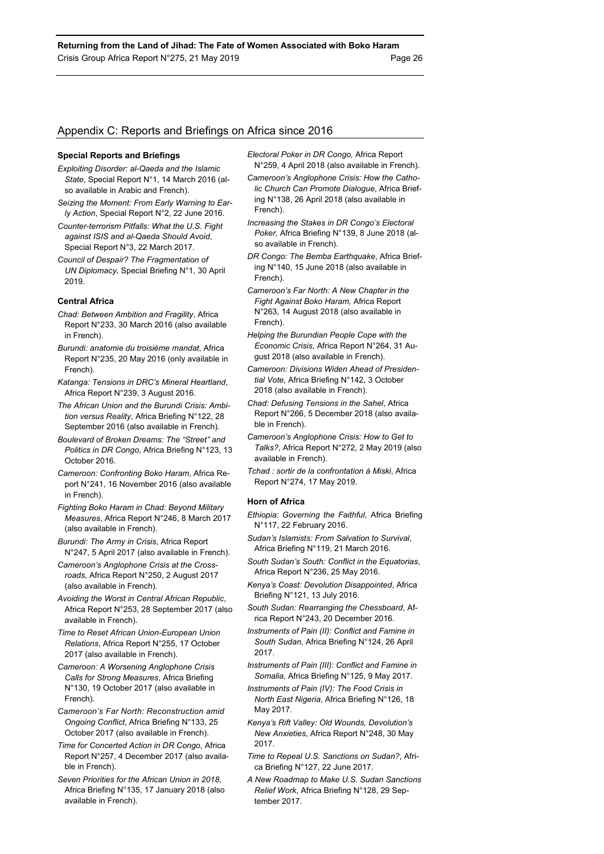### Appendix C: Reports and Briefings on Africa since 2016

#### **Special Reports and Briefings**

- *Exploiting Disorder: al-Qaeda and the Islamic State*, Special Report N°1, 14 March 2016 (also available in Arabic and French).
- *Seizing the Moment: From Early Warning to Early Action*, Special Report N°2, 22 June 2016.
- *Counter-terrorism Pitfalls: What the U.S. Fight against ISIS and al-Qaeda Should Avoid*, Special Report N°3, 22 March 2017.
- *Council of Despair? The Fragmentation of UN Diplomacy,* Special Briefing N°1, 30 April 2019.

#### **Central Africa**

- *Chad: Between Ambition and Fragility*, Africa Report N°233, 30 March 2016 (also available in French).
- *Burundi: anatomie du troisième mandat*, Africa Report N°235, 20 May 2016 (only available in French).
- *Katanga: Tensions in DRC's Mineral Heartland*, Africa Report N°239, 3 August 2016.
- *The African Union and the Burundi Crisis: Ambition versus Reality*, Africa Briefing N°122, 28 September 2016 (also available in French).
- *Boulevard of Broken Dreams: The "Street" and Politics in DR Congo*, Africa Briefing N°123, 13 October 2016.
- *Cameroon: Confronting Boko Haram*, Africa Report N°241, 16 November 2016 (also available in French).
- *Fighting Boko Haram in Chad: Beyond Military Measures*, Africa Report N°246, 8 March 2017 (also available in French).
- *Burundi: The Army in Crisis*, Africa Report N°247, 5 April 2017 (also available in French).
- *Cameroon's Anglophone Crisis at the Crossroads*, Africa Report N°250, 2 August 2017 (also available in French).
- *Avoiding the Worst in Central African Republic*, Africa Report N°253, 28 September 2017 (also available in French).
- *Time to Reset African Union-European Union Relations*, Africa Report N°255, 17 October 2017 (also available in French).
- *Cameroon: A Worsening Anglophone Crisis Calls for Strong Measures*, Africa Briefing N°130, 19 October 2017 (also available in French).
- *Cameroon's Far North: Reconstruction amid Ongoing Conflict*, Africa Briefing N°133, 25 October 2017 (also available in French).
- *Time for Concerted Action in DR Congo*, Africa Report N°257, 4 December 2017 (also available in French).
- *Seven Priorities for the African Union in 2018*, Africa Briefing N°135, 17 January 2018 (also available in French).
- *Electoral Poker in DR Congo,* Africa Report N°259, 4 April 2018 (also available in French).
- *Cameroon's Anglophone Crisis: How the Catholic Church Can Promote Dialogue*, Africa Briefing N°138, 26 April 2018 (also available in French).
- *Increasing the Stakes in DR Congo's Electoral Poker,* Africa Briefing N°139, 8 June 2018 (also available in French).
- *DR Congo: The Bemba Earthquake*, Africa Briefing N°140, 15 June 2018 (also available in French).
- *Cameroon's Far North: A New Chapter in the Fight Against Boko Haram,* Africa Report N°263, 14 August 2018 (also available in French).
- *Helping the Burundian People Cope with the Economic Crisis,* Africa Report N°264, 31 August 2018 (also available in French).
- *Cameroon: Divisions Widen Ahead of Presidential Vote*, Africa Briefing N°142, 3 October 2018 (also available in French).
- *Chad: Defusing Tensions in the Sahel*, Africa Report N°266, 5 December 2018 (also available in French).
- *Cameroon's Anglophone Crisis: How to Get to Talks?*, Africa Report N°272, 2 May 2019 (also available in French).
- *Tchad : sortir de la confrontation à Miski*, Africa Report N°274, 17 May 2019.

#### **Horn of Africa**

- *Ethiopia: Governing the Faithful*, Africa Briefing N°117, 22 February 2016.
- *Sudan's Islamists: From Salvation to Survival*, Africa Briefing N°119, 21 March 2016.
- *South Sudan's South: Conflict in the Equatorias*, Africa Report N°236, 25 May 2016.
- *Kenya's Coast: Devolution Disappointed*, Africa Briefing N°121, 13 July 2016.
- *South Sudan: Rearranging the Chessboard*, Africa Report N°243, 20 December 2016.
- *Instruments of Pain (II): Conflict and Famine in South Sudan*, Africa Briefing N°124, 26 April 2017.
- *Instruments of Pain (III): Conflict and Famine in Somalia*, Africa Briefing N°125, 9 May 2017.
- *Instruments of Pain (IV): The Food Crisis in North East Nigeria*, Africa Briefing N°126, 18 May 2017.
- *Kenya's Rift Valley: Old Wounds, Devolution's New Anxieties*, Africa Report N°248, 30 May 2017.
- *Time to Repeal U.S. Sanctions on Sudan?*, Africa Briefing N°127, 22 June 2017.
- *A New Roadmap to Make U.S. Sudan Sanctions Relief Work*, Africa Briefing N°128, 29 September 2017.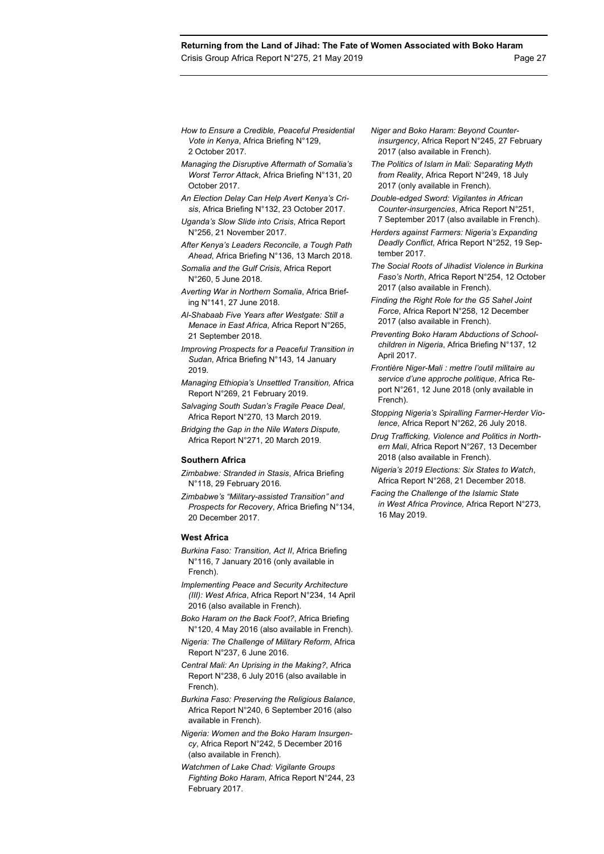- *How to Ensure a Credible, Peaceful Presidential Vote in Kenya*, Africa Briefing N°129, 2 October 2017.
- *Managing the Disruptive Aftermath of Somalia's Worst Terror Attack*, Africa Briefing N°131, 20 October 2017.
- *An Election Delay Can Help Avert Kenya's Crisis*, Africa Briefing N°132, 23 October 2017. *Uganda's Slow Slide into Crisis*, Africa Report
- N°256, 21 November 2017.
- *After Kenya's Leaders Reconcile, a Tough Path Ahead*, Africa Briefing N°136, 13 March 2018.
- *Somalia and the Gulf Crisis*, Africa Report N°260, 5 June 2018.
- *Averting War in Northern Somalia*, Africa Briefing N°141, 27 June 2018.
- *Al-Shabaab Five Years after Westgate: Still a Menace in East Africa*, Africa Report N°265, 21 September 2018.
- *Improving Prospects for a Peaceful Transition in Sudan*, Africa Briefing N°143, 14 January 2019.
- *Managing Ethiopia's Unsettled Transition,* Africa Report N°269, 21 February 2019.
- *Salvaging South Sudan's Fragile Peace Deal*, Africa Report N°270, 13 March 2019.
- *Bridging the Gap in the Nile Waters Dispute,*  Africa Report N°271, 20 March 2019.

#### **Southern Africa**

- *Zimbabwe: Stranded in Stasis*, Africa Briefing N°118, 29 February 2016*.*
- *Zimbabwe's "Military-assisted Transition" and Prospects for Recovery*, Africa Briefing N°134, 20 December 2017.

#### **West Africa**

- *Burkina Faso: Transition, Act II*, Africa Briefing N°116, 7 January 2016 (only available in French).
- *Implementing Peace and Security Architecture (III): West Africa*, Africa Report N°234, 14 April 2016 (also available in French).
- *Boko Haram on the Back Foot?*, Africa Briefing N°120, 4 May 2016 (also available in French).
- *Nigeria: The Challenge of Military Reform*, Africa Report N°237, 6 June 2016.
- *Central Mali: An Uprising in the Making?*, Africa Report N°238, 6 July 2016 (also available in French).
- *Burkina Faso: Preserving the Religious Balance*, Africa Report N°240, 6 September 2016 (also available in French).
- *Nigeria: Women and the Boko Haram Insurgency*, Africa Report N°242, 5 December 2016 (also available in French).
- *Watchmen of Lake Chad: Vigilante Groups Fighting Boko Haram*, Africa Report N°244, 23 February 2017.
- *Niger and Boko Haram: Beyond Counterinsurgency*, Africa Report N°245, 27 February 2017 (also available in French).
- *The Politics of Islam in Mali: Separating Myth from Reality*, Africa Report N°249, 18 July 2017 (only available in French).
- *Double-edged Sword: Vigilantes in African Counter-insurgencies*, Africa Report N°251, 7 September 2017 (also available in French).
- *Herders against Farmers: Nigeria's Expanding Deadly Conflict*, Africa Report N°252, 19 September 2017.
- *The Social Roots of Jihadist Violence in Burkina Faso's North*, Africa Report N°254, 12 October 2017 (also available in French).
- *Finding the Right Role for the G5 Sahel Joint Force*, Africa Report N°258, 12 December 2017 (also available in French).
- *Preventing Boko Haram Abductions of Schoolchildren in Nigeria*, Africa Briefing N°137, 12 April 2017.
- *Frontière Niger-Mali : mettre l'outil militaire au service d'une approche politique*, Africa Report N°261, 12 June 2018 (only available in French).
- *Stopping Nigeria's Spiralling Farmer-Herder Violence*, Africa Report N°262, 26 July 2018.
- *Drug Trafficking, Violence and Politics in Northern Mali*, Africa Report N°267, 13 December 2018 (also available in French).
- *Nigeria's 2019 Elections: Six States to Watch*, Africa Report N°268, 21 December 2018.
- *Facing the Challenge of the Islamic State in West Africa Province,* Africa Report N°273, 16 May 2019.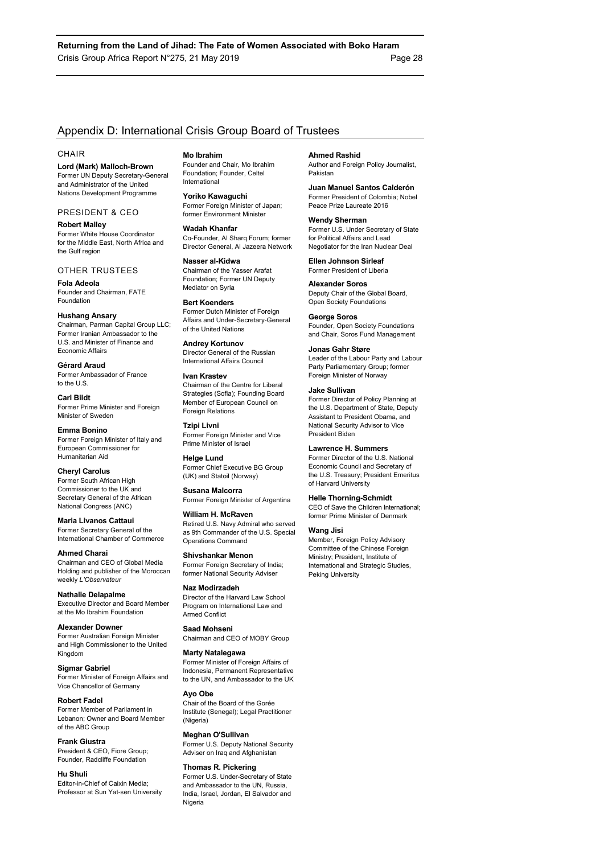# Appendix D: International Crisis Group Board of Trustees

#### **CHAIR**

**Lord (Mark) Malloch-Brown**  Former UN Deputy Secretary-General and Administrator of the United Nations Development Programme

#### PRESIDENT & CEO

**Robert Malley**  Former White House Coordinator for the Middle East, North Africa and the Gulf region

#### OTHER TRUSTEES

**Fola Adeola**  Founder and Chairman, FATE Foundation

#### **Hushang Ansary**

Chairman, Parman Capital Group LLC; Former Iranian Ambassador to the U.S. and Minister of Finance and Economic Affairs

**Gérard Araud**  Former Ambassador of France to the U.S.

**Carl Bildt**  Former Prime Minister and Foreign Minister of Sweden

**Emma Bonino**  Former Foreign Minister of Italy and European Commissioner for Humanitarian Aid

**Cheryl Carolus**  Former South African High Commissioner to the UK and Secretary General of the African

National Congress (ANC)

**Maria Livanos Cattaui**  Former Secretary General of the International Chamber of Commerce

**Ahmed Charai**  Chairman and CEO of Global Media Holding and publisher of the Moroccan weekly *L'Observateur*

**Nathalie Delapalme**  Executive Director and Board Member at the Mo Ibrahim Foundation

**Alexander Downer**  Former Australian Foreign Minister and High Commissioner to the United Kingdom

**Sigmar Gabriel**  Former Minister of Foreign Affairs and Vice Chancellor of Germany

**Robert Fadel**  Former Member of Parliament in Lebanon; Owner and Board Member of the ABC Group

**Frank Giustra**  President & CEO, Fiore Group; Founder, Radcliffe Foundation

**Hu Shuli**  Editor-in-Chief of Caixin Media; Professor at Sun Yat-sen University **Mo Ibrahim** 

Founder and Chair, Mo Ibrahim Foundation; Founder, Celtel International

**Yoriko Kawaguchi**  Former Foreign Minister of Japan; former Environment Minister

**Wadah Khanfar**  Co-Founder, Al Sharq Forum; former Director General, Al Jazeera Network

**Nasser al-Kidwa**  Chairman of the Yasser Arafat Foundation; Former UN Deputy Mediator on Syria

**Bert Koenders**  Former Dutch Minister of Foreign Affairs and Under-Secretary-General of the United Nations

**Andrey Kortunov**  Director General of the Russian International Affairs Council

#### **Ivan Krastev**

Chairman of the Centre for Liberal Strategies (Sofia); Founding Board Member of European Council on **Foreign Relations** 

**Tzipi Livni**  Former Foreign Minister and Vice Prime Minister of Israel

**Helge Lund**  Former Chief Executive BG Group (UK) and Statoil (Norway)

**Susana Malcorra**  Former Foreign Minister of Argentina

**William H. McRaven**  Retired U.S. Navy Admiral who served as 9th Commander of the U.S. Special Operations Command

**Shivshankar Menon**  Former Foreign Secretary of India; former National Security Adviser

**Naz Modirzadeh**  Director of the Harvard Law School Program on International Law and Armed Conflict

**Saad Mohseni**  Chairman and CEO of MOBY Group

#### **Marty Natalegawa**

Former Minister of Foreign Affairs of Indonesia, Permanent Representative to the UN, and Ambassador to the UK

# **Ayo Obe**

Chair of the Board of the Gorée Institute (Senegal); Legal Practitioner (Nigeria)

**Meghan O'Sullivan**  Former U.S. Deputy National Security Adviser on Iraq and Afghanistan

#### **Thomas R. Pickering**

Former U.S. Under-Secretary of State and Ambassador to the UN, Russia, India, Israel, Jordan, El Salvador and Nigeria

**Ahmed Rashid** 

Author and Foreign Policy Journalist, Pakistan

**Juan Manuel Santos Calderón**  Former President of Colombia; Nobel Peace Prize Laureate 2016

**Wendy Sherman**  Former U.S. Under Secretary of State for Political Affairs and Lead Negotiator for the Iran Nuclear Deal

**Ellen Johnson Sirleaf**  Former President of Liberia

**Alexander Soros**  Deputy Chair of the Global Board, Open Society Foundations

**George Soros**  Founder, Open Society Foundations and Chair, Soros Fund Management

**Jonas Gahr Støre** 

Leader of the Labour Party and Labour Party Parliamentary Group; former Foreign Minister of Norway

#### **Jake Sullivan**

Former Director of Policy Planning at the U.S. Department of State, Deputy Assistant to President Obama, and National Security Advisor to Vice President Biden

#### **Lawrence H. Summers**

Former Director of the U.S. National Economic Council and Secretary of the U.S. Treasury; President Emeritus of Harvard University

#### **Helle Thorning-Schmidt**

CEO of Save the Children International; former Prime Minister of Denmark

#### **Wang Jisi**

Member, Foreign Policy Advisory Committee of the Chinese Foreign Ministry; President, Institute of International and Strategic Studies, Peking University